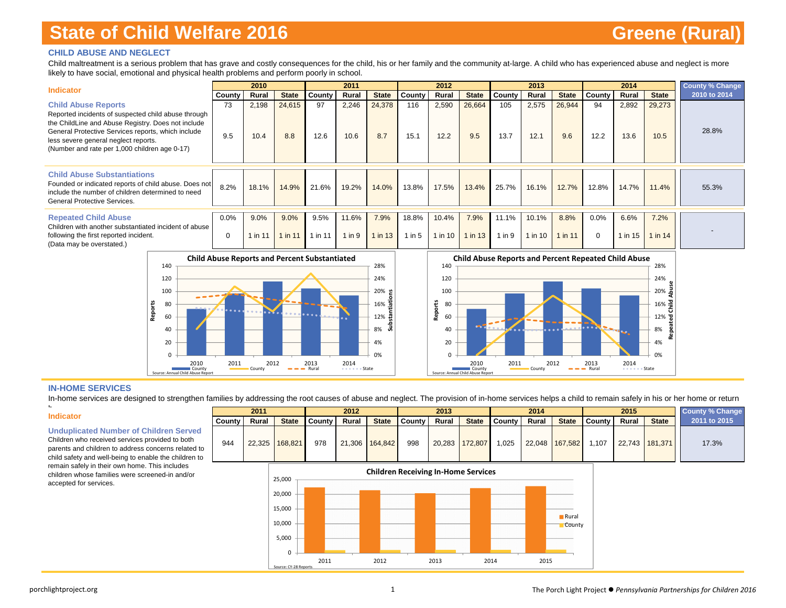### **CHILD ABUSE AND NEGLECT**

Child maltreatment is a serious problem that has grave and costly consequences for the child, his or her family and the community at-large. A child who has experienced abuse and neglect is more likely to have social, emotional and physical health problems and perform poorly in school.

| <b>Indicator</b>                                                                                                                                                                                                                                                                       |                     | 2010            |                 |                 | 2011                |                 |                   | 2012             |                     |                     | 2013             |                     |                     | 2014            |                 | <b>County % Change</b> |
|----------------------------------------------------------------------------------------------------------------------------------------------------------------------------------------------------------------------------------------------------------------------------------------|---------------------|-----------------|-----------------|-----------------|---------------------|-----------------|-------------------|------------------|---------------------|---------------------|------------------|---------------------|---------------------|-----------------|-----------------|------------------------|
|                                                                                                                                                                                                                                                                                        | County              | Rural           | <b>State</b>    | County          | Rural               | <b>State</b>    | County            | Rural            | <b>State</b>        | County              | Rural            | <b>State</b>        | County              | Rural           | <b>State</b>    | 2010 to 2014           |
| <b>Child Abuse Reports</b><br>Reported incidents of suspected child abuse through<br>the ChildLine and Abuse Registry. Does not include<br>General Protective Services reports, which include<br>less severe general neglect reports.<br>(Number and rate per 1,000 children age 0-17) | 73<br>9.5           | 2,198<br>10.4   | 24,615<br>8.8   | 97<br>12.6      | 2,246<br>10.6       | 24,378<br>8.7   | 116<br>15.1       | 2,590<br>12.2    | 26,664<br>9.5       | 105<br>13.7         | 2,575<br>12.1    | 26,944<br>9.6       | 94<br>12.2          | 2,892<br>13.6   | 29,273<br>10.5  | 28.8%                  |
| <b>Child Abuse Substantiations</b><br>Founded or indicated reports of child abuse. Does not<br>include the number of children determined to need<br>General Protective Services.                                                                                                       | 8.2%                | 18.1%           | 14.9%           | 21.6%           | 19.2%               | 14.0%           | 13.8%             | 17.5%            | 13.4%               | 25.7%               | 16.1%            | 12.7%               | 12.8%               | 14.7%           | 11.4%           | 55.3%                  |
| <b>Repeated Child Abuse</b><br>Children with another substantiated incident of abuse<br>following the first reported incident.<br>(Data may be overstated.)                                                                                                                            | $0.0\%$<br>$\Omega$ | 9.0%<br>1 in 11 | 9.0%<br>1 in 11 | 9.5%<br>l in 11 | 11.6%<br>$1$ in $9$ | 7.9%<br>1 in 13 | 18.8%<br>$1$ in 5 | 10.4%<br>1 in 10 | 7.9%<br>$1$ in $13$ | 11.1%<br>$1$ in $9$ | 10.1%<br>1 in 10 | 8.8%<br>$1$ in $11$ | $0.0\%$<br>$\Omega$ | 6.6%<br>1 in 15 | 7.2%<br>1 in 14 |                        |





#### **IN-HOME SERVICES**

In-home services are designed to strengthen families by addressing the root causes of abuse and neglect. The provision of in-home services helps a child to remain safely in his or her home or return

**Substantiations**

#### **Indicator**

h

**Unduplicated Number of Children Served**

child safety and well-being to enable the children to remain safely in their own home. This includes children whose families were screened-in and/or accepted for services.



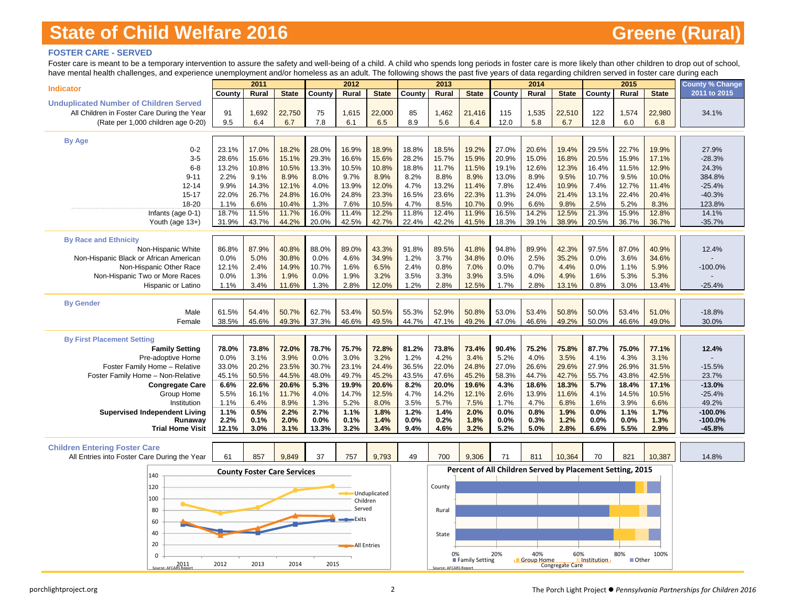### **FOSTER CARE - SERVED**

Foster care is meant to be a temporary intervention to assure the safety and well-being of a child. A child who spends long periods in foster care is more likely than other children to drop out of school, have mental health challenges, and experience unemployment and/or homeless as a adult. The following shows the past five years of data regarding children served in foster care during each

| <b>Indicator</b><br>2011 to 2015<br>Rural<br><b>State</b><br>County<br>Rural<br><b>State</b><br>County<br>Rural<br><b>State</b><br>County<br>Rural<br><b>State</b><br>County<br>Rural<br><b>State</b><br>County<br><b>Unduplicated Number of Children Served</b><br>All Children in Foster Care During the Year<br>22,750<br>75<br>22,000<br>1,462<br>1,535<br>22,510<br>1,574<br>91<br>1,692<br>1,615<br>85<br>21,416<br>115<br>122<br>22,980<br>34.1%<br>8.9<br>(Rate per 1,000 children age 0-20)<br>9.5<br>6.4<br>6.7<br>7.8<br>6.1<br>6.5<br>5.6<br>6.4<br>12.0<br>5.8<br>6.7<br>12.8<br>6.0<br>6.8<br><b>By Age</b><br>23.1%<br>18.2%<br>28.0%<br>18.9%<br>18.5%<br>19.2%<br>27.0%<br>22.7%<br>19.9%<br>$0 - 2$<br>17.0%<br>16.9%<br>18.8%<br>20.6%<br>19.4%<br>29.5%<br>27.9%<br>$3-5$<br>28.6%<br>15.6%<br>15.1%<br>29.3%<br>16.6%<br>15.6%<br>28.2%<br>15.7%<br>15.9%<br>20.9%<br>15.0%<br>16.8%<br>20.5%<br>15.9%<br>17.1%<br>$-28.3%$<br>10.8%<br>10.5%<br>10.8%<br>11.5%<br>19.1%<br>12.3%<br>$6 - 8$<br>13.2%<br>13.3%<br>10.5%<br>18.8%<br>11.7%<br>12.6%<br>16.4%<br>11.5%<br>12.9%<br>24.3%<br>$9 - 11$<br>2.2%<br>9.1%<br>8.9%<br>8.0%<br>9.7%<br>8.9%<br>8.2%<br>8.8%<br>8.9%<br>13.0%<br>8.9%<br>9.5%<br>10.7%<br>9.5%<br>10.0%<br>384.8%<br>14.3%<br>13.9%<br>12.0%<br>13.2%<br>11.4%<br>$12 - 14$<br>9.9%<br>12.1%<br>4.0%<br>4.7%<br>7.8%<br>12.4%<br>10.9%<br>7.4%<br>12.7%<br>11.4%<br>$-25.4%$<br>$15 - 17$<br>22.0%<br>26.7%<br>24.8%<br>16.0%<br>24.8%<br>23.3%<br>16.5%<br>23.6%<br>22.3%<br>11.3%<br>24.0%<br>21.4%<br>13.1%<br>22.4%<br>20.4%<br>$-40.3%$<br>10.7%<br>9.8%<br>2.5%<br>18-20<br>1.1%<br>6.6%<br>10.4%<br>1.3%<br>7.6%<br>10.5%<br>4.7%<br>8.5%<br>0.9%<br>6.6%<br>5.2%<br>8.3%<br>123.8%<br>18.7%<br>11.5%<br>11.7%<br>16.0%<br>11.4%<br>12.2%<br>11.8%<br>12.4%<br>11.9%<br>16.5%<br>14.2%<br>12.5%<br>21.3%<br>15.9%<br>12.8%<br>14.1%<br>Infants (age 0-1)<br>31.9%<br>42.5%<br>42.7%<br>41.5%<br>38.9%<br>Youth (age 13+)<br>43.7%<br>44.2%<br>20.0%<br>22.4%<br>42.2%<br>18.3%<br>39.1%<br>20.5%<br>36.7%<br>36.7%<br>$-35.7%$<br><b>By Race and Ethnicity</b><br>94.8%<br>42.3%<br>97.5%<br>86.8%<br>87.9%<br>40.8%<br>88.0%<br>89.0%<br>43.3%<br>91.8%<br>89.5%<br>41.8%<br>89.9%<br>87.0%<br>40.9%<br>12.4%<br>Non-Hispanic White<br>30.8%<br>4.6%<br>34.9%<br>34.8%<br>2.5%<br>35.2%<br>0.0%<br>3.6%<br>Non-Hispanic Black or African American<br>0.0%<br>5.0%<br>0.0%<br>1.2%<br>3.7%<br>0.0%<br>34.6%<br>2.4%<br>14.9%<br>10.7%<br>1.6%<br>6.5%<br>2.4%<br>0.8%<br>0.0%<br>0.7%<br>4.4%<br>0.0%<br>1.1%<br>5.9%<br>Non-Hispanic Other Race<br>12.1%<br>7.0%<br>$-100.0%$<br>Non-Hispanic Two or More Races<br>0.0%<br>1.3%<br>1.9%<br>0.0%<br>1.9%<br>3.2%<br>3.5%<br>3.3%<br>3.9%<br>3.5%<br>4.0%<br>4.9%<br>1.6%<br>5.3%<br>5.3%<br>3.4%<br>11.6%<br>1.3%<br>2.8%<br>12.0%<br>1.2%<br>2.8%<br>12.5%<br>1.7%<br>2.8%<br>13.1%<br>0.8%<br>3.0%<br>13.4%<br>$-25.4%$<br>Hispanic or Latino<br>1.1%<br><b>By Gender</b><br>50.5%<br>53.0%<br>Male<br>61.5%<br>54.4%<br>50.7%<br>62.7%<br>53.4%<br>55.3%<br>52.9%<br>50.8%<br>53.4%<br>50.8%<br>50.0%<br>53.4%<br>51.0%<br>$-18.8%$<br>38.5%<br>45.6%<br>49.3%<br>37.3%<br>46.6%<br>49.5%<br>44.7%<br>47.1%<br>49.2%<br>47.0%<br>46.6%<br>49.2%<br>50.0%<br>46.6%<br>49.0%<br>Female<br>30.0%<br><b>By First Placement Setting</b><br>78.7%<br>75.7%<br>72.8%<br>81.2%<br>73.8%<br>73.4%<br>87.7%<br>77.1%<br><b>Family Setting</b><br>78.0%<br>73.8%<br>72.0%<br>90.4%<br>75.2%<br>75.8%<br>75.0%<br>12.4%<br>Pre-adoptive Home<br>0.0%<br>3.1%<br>3.9%<br>0.0%<br>3.0%<br>3.2%<br>1.2%<br>4.2%<br>3.4%<br>5.2%<br>4.0%<br>3.5%<br>4.1%<br>4.3%<br>3.1%<br>20.2%<br>22.0%<br>27.0%<br>27.9%<br>Foster Family Home - Relative<br>33.0%<br>23.5%<br>30.7%<br>23.1%<br>24.4%<br>36.5%<br>24.8%<br>26.6%<br>29.6%<br>26.9%<br>31.5%<br>$-15.5%$<br>50.5%<br>44.5%<br>45.2%<br>58.3%<br>55.7%<br>Foster Family Home - Non-Relative<br>45.1%<br>48.0%<br>49.7%<br>45.2%<br>43.5%<br>47.6%<br>44.7%<br>42.7%<br>43.8%<br>42.5%<br>23.7%<br>22.6%<br>20.6%<br>19.6%<br>17.1%<br>$-13.0%$<br>6.6%<br>20.6%<br>5.3%<br>19.9%<br>8.2%<br>20.0%<br>4.3%<br>18.6%<br>18.3%<br>5.7%<br>18.4%<br><b>Congregate Care</b><br>Group Home<br>5.5%<br>16.1%<br>11.7%<br>4.0%<br>14.7%<br>12.5%<br>4.7%<br>14.2%<br>12.1%<br>2.6%<br>13.9%<br>11.6%<br>4.1%<br>14.5%<br>10.5%<br>$-25.4%$<br>49.2%<br>Institution<br>1.1%<br>6.4%<br>8.9%<br>1.3%<br>5.2%<br>8.0%<br>3.5%<br>5.7%<br>7.5%<br>1.7%<br>4.7%<br>6.8%<br>1.6%<br>3.9%<br>6.6%<br>0.5%<br>2.2%<br>2.7%<br>1.1%<br>1.8%<br>1.2%<br>1.4%<br>2.0%<br>0.0%<br>0.8%<br>1.9%<br>0.0%<br>1.1%<br>1.7%<br>$-100.0%$<br><b>Supervised Independent Living</b><br>1.1%<br>2.0%<br>1.4%<br>1.8%<br>1.2%<br>$-100.0\%$<br>Runaway<br>2.2%<br>0.1%<br>0.0%<br>0.1%<br>0.0%<br>0.2%<br>0.0%<br>0.3%<br>0.0%<br>0.0%<br>1.3%<br><b>Trial Home Visit</b><br>12.1%<br>3.0%<br>13.3%<br>3.2%<br>3.4%<br>3.2%<br>5.2%<br>2.8%<br>5.5%<br>2.9%<br>$-45.8%$<br>3.1%<br>9.4%<br>4.6%<br>5.0%<br>6.6%<br><b>Children Entering Foster Care</b><br>9,849<br>37<br>9,793<br>9,306<br>71<br>811<br>10,364<br>821<br>10,387<br>All Entries into Foster Care During the Year<br>61<br>857<br>757<br>49<br>700<br>70<br>14.8%<br>Percent of All Children Served by Placement Setting, 2015<br><b>County Foster Care Services</b><br>140<br>120<br>County<br><b>Unduplicated</b><br>100<br>Children<br>Served<br>80<br>Rural<br>Exits<br>60<br>40<br>State | nave menta neatin challenges, and experience difemployment and/or nomeless as an addit. The following shows the past live years or data regarding children served in foster care during each | 2011 |  | 2012 |  | 2013 |  | 2014 |  | 2015 | <b>County % Change</b> |
|------------------------------------------------------------------------------------------------------------------------------------------------------------------------------------------------------------------------------------------------------------------------------------------------------------------------------------------------------------------------------------------------------------------------------------------------------------------------------------------------------------------------------------------------------------------------------------------------------------------------------------------------------------------------------------------------------------------------------------------------------------------------------------------------------------------------------------------------------------------------------------------------------------------------------------------------------------------------------------------------------------------------------------------------------------------------------------------------------------------------------------------------------------------------------------------------------------------------------------------------------------------------------------------------------------------------------------------------------------------------------------------------------------------------------------------------------------------------------------------------------------------------------------------------------------------------------------------------------------------------------------------------------------------------------------------------------------------------------------------------------------------------------------------------------------------------------------------------------------------------------------------------------------------------------------------------------------------------------------------------------------------------------------------------------------------------------------------------------------------------------------------------------------------------------------------------------------------------------------------------------------------------------------------------------------------------------------------------------------------------------------------------------------------------------------------------------------------------------------------------------------------------------------------------------------------------------------------------------------------------------------------------------------------------------------------------------------------------------------------------------------------------------------------------------------------------------------------------------------------------------------------------------------------------------------------------------------------------------------------------------------------------------------------------------------------------------------------------------------------------------------------------------------------------------------------------------------------------------------------------------------------------------------------------------------------------------------------------------------------------------------------------------------------------------------------------------------------------------------------------------------------------------------------------------------------------------------------------------------------------------------------------------------------------------------------------------------------------------------------------------------------------------------------------------------------------------------------------------------------------------------------------------------------------------------------------------------------------------------------------------------------------------------------------------------------------------------------------------------------------------------------------------------------------------------------------------------------------------------------------------------------------------------------------------------------------------------------------------------------------------------------------------------------------------------------------------------------------------------------------------------------------------------------------------------------------------------------------------------------------------------------------------------------------------------------------------------------------------------------------------------------------------------------------------------------------------------------------------------------------------------------------------------------------------------------------------------------------------------------------------------------------------------------------------------------------------------------------------------------------------------------------------------------------------------------------------------------------------------------------------------------------------------------------------------------------------------------------------------------------------------------------------------------------------------------------------------------------|----------------------------------------------------------------------------------------------------------------------------------------------------------------------------------------------|------|--|------|--|------|--|------|--|------|------------------------|
|                                                                                                                                                                                                                                                                                                                                                                                                                                                                                                                                                                                                                                                                                                                                                                                                                                                                                                                                                                                                                                                                                                                                                                                                                                                                                                                                                                                                                                                                                                                                                                                                                                                                                                                                                                                                                                                                                                                                                                                                                                                                                                                                                                                                                                                                                                                                                                                                                                                                                                                                                                                                                                                                                                                                                                                                                                                                                                                                                                                                                                                                                                                                                                                                                                                                                                                                                                                                                                                                                                                                                                                                                                                                                                                                                                                                                                                                                                                                                                                                                                                                                                                                                                                                                                                                                                                                                                                                                                                                                                                                                                                                                                                                                                                                                                                                                                                                                                                                                                                                                                                                                                                                                                                                                                                                                                                                                                                                                                                                        |                                                                                                                                                                                              |      |  |      |  |      |  |      |  |      |                        |
|                                                                                                                                                                                                                                                                                                                                                                                                                                                                                                                                                                                                                                                                                                                                                                                                                                                                                                                                                                                                                                                                                                                                                                                                                                                                                                                                                                                                                                                                                                                                                                                                                                                                                                                                                                                                                                                                                                                                                                                                                                                                                                                                                                                                                                                                                                                                                                                                                                                                                                                                                                                                                                                                                                                                                                                                                                                                                                                                                                                                                                                                                                                                                                                                                                                                                                                                                                                                                                                                                                                                                                                                                                                                                                                                                                                                                                                                                                                                                                                                                                                                                                                                                                                                                                                                                                                                                                                                                                                                                                                                                                                                                                                                                                                                                                                                                                                                                                                                                                                                                                                                                                                                                                                                                                                                                                                                                                                                                                                                        |                                                                                                                                                                                              |      |  |      |  |      |  |      |  |      |                        |
|                                                                                                                                                                                                                                                                                                                                                                                                                                                                                                                                                                                                                                                                                                                                                                                                                                                                                                                                                                                                                                                                                                                                                                                                                                                                                                                                                                                                                                                                                                                                                                                                                                                                                                                                                                                                                                                                                                                                                                                                                                                                                                                                                                                                                                                                                                                                                                                                                                                                                                                                                                                                                                                                                                                                                                                                                                                                                                                                                                                                                                                                                                                                                                                                                                                                                                                                                                                                                                                                                                                                                                                                                                                                                                                                                                                                                                                                                                                                                                                                                                                                                                                                                                                                                                                                                                                                                                                                                                                                                                                                                                                                                                                                                                                                                                                                                                                                                                                                                                                                                                                                                                                                                                                                                                                                                                                                                                                                                                                                        |                                                                                                                                                                                              |      |  |      |  |      |  |      |  |      |                        |
|                                                                                                                                                                                                                                                                                                                                                                                                                                                                                                                                                                                                                                                                                                                                                                                                                                                                                                                                                                                                                                                                                                                                                                                                                                                                                                                                                                                                                                                                                                                                                                                                                                                                                                                                                                                                                                                                                                                                                                                                                                                                                                                                                                                                                                                                                                                                                                                                                                                                                                                                                                                                                                                                                                                                                                                                                                                                                                                                                                                                                                                                                                                                                                                                                                                                                                                                                                                                                                                                                                                                                                                                                                                                                                                                                                                                                                                                                                                                                                                                                                                                                                                                                                                                                                                                                                                                                                                                                                                                                                                                                                                                                                                                                                                                                                                                                                                                                                                                                                                                                                                                                                                                                                                                                                                                                                                                                                                                                                                                        |                                                                                                                                                                                              |      |  |      |  |      |  |      |  |      |                        |
|                                                                                                                                                                                                                                                                                                                                                                                                                                                                                                                                                                                                                                                                                                                                                                                                                                                                                                                                                                                                                                                                                                                                                                                                                                                                                                                                                                                                                                                                                                                                                                                                                                                                                                                                                                                                                                                                                                                                                                                                                                                                                                                                                                                                                                                                                                                                                                                                                                                                                                                                                                                                                                                                                                                                                                                                                                                                                                                                                                                                                                                                                                                                                                                                                                                                                                                                                                                                                                                                                                                                                                                                                                                                                                                                                                                                                                                                                                                                                                                                                                                                                                                                                                                                                                                                                                                                                                                                                                                                                                                                                                                                                                                                                                                                                                                                                                                                                                                                                                                                                                                                                                                                                                                                                                                                                                                                                                                                                                                                        |                                                                                                                                                                                              |      |  |      |  |      |  |      |  |      |                        |
|                                                                                                                                                                                                                                                                                                                                                                                                                                                                                                                                                                                                                                                                                                                                                                                                                                                                                                                                                                                                                                                                                                                                                                                                                                                                                                                                                                                                                                                                                                                                                                                                                                                                                                                                                                                                                                                                                                                                                                                                                                                                                                                                                                                                                                                                                                                                                                                                                                                                                                                                                                                                                                                                                                                                                                                                                                                                                                                                                                                                                                                                                                                                                                                                                                                                                                                                                                                                                                                                                                                                                                                                                                                                                                                                                                                                                                                                                                                                                                                                                                                                                                                                                                                                                                                                                                                                                                                                                                                                                                                                                                                                                                                                                                                                                                                                                                                                                                                                                                                                                                                                                                                                                                                                                                                                                                                                                                                                                                                                        |                                                                                                                                                                                              |      |  |      |  |      |  |      |  |      |                        |
|                                                                                                                                                                                                                                                                                                                                                                                                                                                                                                                                                                                                                                                                                                                                                                                                                                                                                                                                                                                                                                                                                                                                                                                                                                                                                                                                                                                                                                                                                                                                                                                                                                                                                                                                                                                                                                                                                                                                                                                                                                                                                                                                                                                                                                                                                                                                                                                                                                                                                                                                                                                                                                                                                                                                                                                                                                                                                                                                                                                                                                                                                                                                                                                                                                                                                                                                                                                                                                                                                                                                                                                                                                                                                                                                                                                                                                                                                                                                                                                                                                                                                                                                                                                                                                                                                                                                                                                                                                                                                                                                                                                                                                                                                                                                                                                                                                                                                                                                                                                                                                                                                                                                                                                                                                                                                                                                                                                                                                                                        |                                                                                                                                                                                              |      |  |      |  |      |  |      |  |      |                        |
|                                                                                                                                                                                                                                                                                                                                                                                                                                                                                                                                                                                                                                                                                                                                                                                                                                                                                                                                                                                                                                                                                                                                                                                                                                                                                                                                                                                                                                                                                                                                                                                                                                                                                                                                                                                                                                                                                                                                                                                                                                                                                                                                                                                                                                                                                                                                                                                                                                                                                                                                                                                                                                                                                                                                                                                                                                                                                                                                                                                                                                                                                                                                                                                                                                                                                                                                                                                                                                                                                                                                                                                                                                                                                                                                                                                                                                                                                                                                                                                                                                                                                                                                                                                                                                                                                                                                                                                                                                                                                                                                                                                                                                                                                                                                                                                                                                                                                                                                                                                                                                                                                                                                                                                                                                                                                                                                                                                                                                                                        |                                                                                                                                                                                              |      |  |      |  |      |  |      |  |      |                        |
|                                                                                                                                                                                                                                                                                                                                                                                                                                                                                                                                                                                                                                                                                                                                                                                                                                                                                                                                                                                                                                                                                                                                                                                                                                                                                                                                                                                                                                                                                                                                                                                                                                                                                                                                                                                                                                                                                                                                                                                                                                                                                                                                                                                                                                                                                                                                                                                                                                                                                                                                                                                                                                                                                                                                                                                                                                                                                                                                                                                                                                                                                                                                                                                                                                                                                                                                                                                                                                                                                                                                                                                                                                                                                                                                                                                                                                                                                                                                                                                                                                                                                                                                                                                                                                                                                                                                                                                                                                                                                                                                                                                                                                                                                                                                                                                                                                                                                                                                                                                                                                                                                                                                                                                                                                                                                                                                                                                                                                                                        |                                                                                                                                                                                              |      |  |      |  |      |  |      |  |      |                        |
|                                                                                                                                                                                                                                                                                                                                                                                                                                                                                                                                                                                                                                                                                                                                                                                                                                                                                                                                                                                                                                                                                                                                                                                                                                                                                                                                                                                                                                                                                                                                                                                                                                                                                                                                                                                                                                                                                                                                                                                                                                                                                                                                                                                                                                                                                                                                                                                                                                                                                                                                                                                                                                                                                                                                                                                                                                                                                                                                                                                                                                                                                                                                                                                                                                                                                                                                                                                                                                                                                                                                                                                                                                                                                                                                                                                                                                                                                                                                                                                                                                                                                                                                                                                                                                                                                                                                                                                                                                                                                                                                                                                                                                                                                                                                                                                                                                                                                                                                                                                                                                                                                                                                                                                                                                                                                                                                                                                                                                                                        |                                                                                                                                                                                              |      |  |      |  |      |  |      |  |      |                        |
|                                                                                                                                                                                                                                                                                                                                                                                                                                                                                                                                                                                                                                                                                                                                                                                                                                                                                                                                                                                                                                                                                                                                                                                                                                                                                                                                                                                                                                                                                                                                                                                                                                                                                                                                                                                                                                                                                                                                                                                                                                                                                                                                                                                                                                                                                                                                                                                                                                                                                                                                                                                                                                                                                                                                                                                                                                                                                                                                                                                                                                                                                                                                                                                                                                                                                                                                                                                                                                                                                                                                                                                                                                                                                                                                                                                                                                                                                                                                                                                                                                                                                                                                                                                                                                                                                                                                                                                                                                                                                                                                                                                                                                                                                                                                                                                                                                                                                                                                                                                                                                                                                                                                                                                                                                                                                                                                                                                                                                                                        |                                                                                                                                                                                              |      |  |      |  |      |  |      |  |      |                        |
|                                                                                                                                                                                                                                                                                                                                                                                                                                                                                                                                                                                                                                                                                                                                                                                                                                                                                                                                                                                                                                                                                                                                                                                                                                                                                                                                                                                                                                                                                                                                                                                                                                                                                                                                                                                                                                                                                                                                                                                                                                                                                                                                                                                                                                                                                                                                                                                                                                                                                                                                                                                                                                                                                                                                                                                                                                                                                                                                                                                                                                                                                                                                                                                                                                                                                                                                                                                                                                                                                                                                                                                                                                                                                                                                                                                                                                                                                                                                                                                                                                                                                                                                                                                                                                                                                                                                                                                                                                                                                                                                                                                                                                                                                                                                                                                                                                                                                                                                                                                                                                                                                                                                                                                                                                                                                                                                                                                                                                                                        |                                                                                                                                                                                              |      |  |      |  |      |  |      |  |      |                        |
|                                                                                                                                                                                                                                                                                                                                                                                                                                                                                                                                                                                                                                                                                                                                                                                                                                                                                                                                                                                                                                                                                                                                                                                                                                                                                                                                                                                                                                                                                                                                                                                                                                                                                                                                                                                                                                                                                                                                                                                                                                                                                                                                                                                                                                                                                                                                                                                                                                                                                                                                                                                                                                                                                                                                                                                                                                                                                                                                                                                                                                                                                                                                                                                                                                                                                                                                                                                                                                                                                                                                                                                                                                                                                                                                                                                                                                                                                                                                                                                                                                                                                                                                                                                                                                                                                                                                                                                                                                                                                                                                                                                                                                                                                                                                                                                                                                                                                                                                                                                                                                                                                                                                                                                                                                                                                                                                                                                                                                                                        |                                                                                                                                                                                              |      |  |      |  |      |  |      |  |      |                        |
|                                                                                                                                                                                                                                                                                                                                                                                                                                                                                                                                                                                                                                                                                                                                                                                                                                                                                                                                                                                                                                                                                                                                                                                                                                                                                                                                                                                                                                                                                                                                                                                                                                                                                                                                                                                                                                                                                                                                                                                                                                                                                                                                                                                                                                                                                                                                                                                                                                                                                                                                                                                                                                                                                                                                                                                                                                                                                                                                                                                                                                                                                                                                                                                                                                                                                                                                                                                                                                                                                                                                                                                                                                                                                                                                                                                                                                                                                                                                                                                                                                                                                                                                                                                                                                                                                                                                                                                                                                                                                                                                                                                                                                                                                                                                                                                                                                                                                                                                                                                                                                                                                                                                                                                                                                                                                                                                                                                                                                                                        |                                                                                                                                                                                              |      |  |      |  |      |  |      |  |      |                        |
|                                                                                                                                                                                                                                                                                                                                                                                                                                                                                                                                                                                                                                                                                                                                                                                                                                                                                                                                                                                                                                                                                                                                                                                                                                                                                                                                                                                                                                                                                                                                                                                                                                                                                                                                                                                                                                                                                                                                                                                                                                                                                                                                                                                                                                                                                                                                                                                                                                                                                                                                                                                                                                                                                                                                                                                                                                                                                                                                                                                                                                                                                                                                                                                                                                                                                                                                                                                                                                                                                                                                                                                                                                                                                                                                                                                                                                                                                                                                                                                                                                                                                                                                                                                                                                                                                                                                                                                                                                                                                                                                                                                                                                                                                                                                                                                                                                                                                                                                                                                                                                                                                                                                                                                                                                                                                                                                                                                                                                                                        |                                                                                                                                                                                              |      |  |      |  |      |  |      |  |      |                        |
|                                                                                                                                                                                                                                                                                                                                                                                                                                                                                                                                                                                                                                                                                                                                                                                                                                                                                                                                                                                                                                                                                                                                                                                                                                                                                                                                                                                                                                                                                                                                                                                                                                                                                                                                                                                                                                                                                                                                                                                                                                                                                                                                                                                                                                                                                                                                                                                                                                                                                                                                                                                                                                                                                                                                                                                                                                                                                                                                                                                                                                                                                                                                                                                                                                                                                                                                                                                                                                                                                                                                                                                                                                                                                                                                                                                                                                                                                                                                                                                                                                                                                                                                                                                                                                                                                                                                                                                                                                                                                                                                                                                                                                                                                                                                                                                                                                                                                                                                                                                                                                                                                                                                                                                                                                                                                                                                                                                                                                                                        |                                                                                                                                                                                              |      |  |      |  |      |  |      |  |      |                        |
|                                                                                                                                                                                                                                                                                                                                                                                                                                                                                                                                                                                                                                                                                                                                                                                                                                                                                                                                                                                                                                                                                                                                                                                                                                                                                                                                                                                                                                                                                                                                                                                                                                                                                                                                                                                                                                                                                                                                                                                                                                                                                                                                                                                                                                                                                                                                                                                                                                                                                                                                                                                                                                                                                                                                                                                                                                                                                                                                                                                                                                                                                                                                                                                                                                                                                                                                                                                                                                                                                                                                                                                                                                                                                                                                                                                                                                                                                                                                                                                                                                                                                                                                                                                                                                                                                                                                                                                                                                                                                                                                                                                                                                                                                                                                                                                                                                                                                                                                                                                                                                                                                                                                                                                                                                                                                                                                                                                                                                                                        |                                                                                                                                                                                              |      |  |      |  |      |  |      |  |      |                        |
|                                                                                                                                                                                                                                                                                                                                                                                                                                                                                                                                                                                                                                                                                                                                                                                                                                                                                                                                                                                                                                                                                                                                                                                                                                                                                                                                                                                                                                                                                                                                                                                                                                                                                                                                                                                                                                                                                                                                                                                                                                                                                                                                                                                                                                                                                                                                                                                                                                                                                                                                                                                                                                                                                                                                                                                                                                                                                                                                                                                                                                                                                                                                                                                                                                                                                                                                                                                                                                                                                                                                                                                                                                                                                                                                                                                                                                                                                                                                                                                                                                                                                                                                                                                                                                                                                                                                                                                                                                                                                                                                                                                                                                                                                                                                                                                                                                                                                                                                                                                                                                                                                                                                                                                                                                                                                                                                                                                                                                                                        |                                                                                                                                                                                              |      |  |      |  |      |  |      |  |      |                        |
|                                                                                                                                                                                                                                                                                                                                                                                                                                                                                                                                                                                                                                                                                                                                                                                                                                                                                                                                                                                                                                                                                                                                                                                                                                                                                                                                                                                                                                                                                                                                                                                                                                                                                                                                                                                                                                                                                                                                                                                                                                                                                                                                                                                                                                                                                                                                                                                                                                                                                                                                                                                                                                                                                                                                                                                                                                                                                                                                                                                                                                                                                                                                                                                                                                                                                                                                                                                                                                                                                                                                                                                                                                                                                                                                                                                                                                                                                                                                                                                                                                                                                                                                                                                                                                                                                                                                                                                                                                                                                                                                                                                                                                                                                                                                                                                                                                                                                                                                                                                                                                                                                                                                                                                                                                                                                                                                                                                                                                                                        |                                                                                                                                                                                              |      |  |      |  |      |  |      |  |      |                        |
|                                                                                                                                                                                                                                                                                                                                                                                                                                                                                                                                                                                                                                                                                                                                                                                                                                                                                                                                                                                                                                                                                                                                                                                                                                                                                                                                                                                                                                                                                                                                                                                                                                                                                                                                                                                                                                                                                                                                                                                                                                                                                                                                                                                                                                                                                                                                                                                                                                                                                                                                                                                                                                                                                                                                                                                                                                                                                                                                                                                                                                                                                                                                                                                                                                                                                                                                                                                                                                                                                                                                                                                                                                                                                                                                                                                                                                                                                                                                                                                                                                                                                                                                                                                                                                                                                                                                                                                                                                                                                                                                                                                                                                                                                                                                                                                                                                                                                                                                                                                                                                                                                                                                                                                                                                                                                                                                                                                                                                                                        |                                                                                                                                                                                              |      |  |      |  |      |  |      |  |      |                        |
|                                                                                                                                                                                                                                                                                                                                                                                                                                                                                                                                                                                                                                                                                                                                                                                                                                                                                                                                                                                                                                                                                                                                                                                                                                                                                                                                                                                                                                                                                                                                                                                                                                                                                                                                                                                                                                                                                                                                                                                                                                                                                                                                                                                                                                                                                                                                                                                                                                                                                                                                                                                                                                                                                                                                                                                                                                                                                                                                                                                                                                                                                                                                                                                                                                                                                                                                                                                                                                                                                                                                                                                                                                                                                                                                                                                                                                                                                                                                                                                                                                                                                                                                                                                                                                                                                                                                                                                                                                                                                                                                                                                                                                                                                                                                                                                                                                                                                                                                                                                                                                                                                                                                                                                                                                                                                                                                                                                                                                                                        |                                                                                                                                                                                              |      |  |      |  |      |  |      |  |      |                        |
|                                                                                                                                                                                                                                                                                                                                                                                                                                                                                                                                                                                                                                                                                                                                                                                                                                                                                                                                                                                                                                                                                                                                                                                                                                                                                                                                                                                                                                                                                                                                                                                                                                                                                                                                                                                                                                                                                                                                                                                                                                                                                                                                                                                                                                                                                                                                                                                                                                                                                                                                                                                                                                                                                                                                                                                                                                                                                                                                                                                                                                                                                                                                                                                                                                                                                                                                                                                                                                                                                                                                                                                                                                                                                                                                                                                                                                                                                                                                                                                                                                                                                                                                                                                                                                                                                                                                                                                                                                                                                                                                                                                                                                                                                                                                                                                                                                                                                                                                                                                                                                                                                                                                                                                                                                                                                                                                                                                                                                                                        |                                                                                                                                                                                              |      |  |      |  |      |  |      |  |      |                        |
|                                                                                                                                                                                                                                                                                                                                                                                                                                                                                                                                                                                                                                                                                                                                                                                                                                                                                                                                                                                                                                                                                                                                                                                                                                                                                                                                                                                                                                                                                                                                                                                                                                                                                                                                                                                                                                                                                                                                                                                                                                                                                                                                                                                                                                                                                                                                                                                                                                                                                                                                                                                                                                                                                                                                                                                                                                                                                                                                                                                                                                                                                                                                                                                                                                                                                                                                                                                                                                                                                                                                                                                                                                                                                                                                                                                                                                                                                                                                                                                                                                                                                                                                                                                                                                                                                                                                                                                                                                                                                                                                                                                                                                                                                                                                                                                                                                                                                                                                                                                                                                                                                                                                                                                                                                                                                                                                                                                                                                                                        |                                                                                                                                                                                              |      |  |      |  |      |  |      |  |      |                        |
|                                                                                                                                                                                                                                                                                                                                                                                                                                                                                                                                                                                                                                                                                                                                                                                                                                                                                                                                                                                                                                                                                                                                                                                                                                                                                                                                                                                                                                                                                                                                                                                                                                                                                                                                                                                                                                                                                                                                                                                                                                                                                                                                                                                                                                                                                                                                                                                                                                                                                                                                                                                                                                                                                                                                                                                                                                                                                                                                                                                                                                                                                                                                                                                                                                                                                                                                                                                                                                                                                                                                                                                                                                                                                                                                                                                                                                                                                                                                                                                                                                                                                                                                                                                                                                                                                                                                                                                                                                                                                                                                                                                                                                                                                                                                                                                                                                                                                                                                                                                                                                                                                                                                                                                                                                                                                                                                                                                                                                                                        |                                                                                                                                                                                              |      |  |      |  |      |  |      |  |      |                        |
|                                                                                                                                                                                                                                                                                                                                                                                                                                                                                                                                                                                                                                                                                                                                                                                                                                                                                                                                                                                                                                                                                                                                                                                                                                                                                                                                                                                                                                                                                                                                                                                                                                                                                                                                                                                                                                                                                                                                                                                                                                                                                                                                                                                                                                                                                                                                                                                                                                                                                                                                                                                                                                                                                                                                                                                                                                                                                                                                                                                                                                                                                                                                                                                                                                                                                                                                                                                                                                                                                                                                                                                                                                                                                                                                                                                                                                                                                                                                                                                                                                                                                                                                                                                                                                                                                                                                                                                                                                                                                                                                                                                                                                                                                                                                                                                                                                                                                                                                                                                                                                                                                                                                                                                                                                                                                                                                                                                                                                                                        |                                                                                                                                                                                              |      |  |      |  |      |  |      |  |      |                        |
|                                                                                                                                                                                                                                                                                                                                                                                                                                                                                                                                                                                                                                                                                                                                                                                                                                                                                                                                                                                                                                                                                                                                                                                                                                                                                                                                                                                                                                                                                                                                                                                                                                                                                                                                                                                                                                                                                                                                                                                                                                                                                                                                                                                                                                                                                                                                                                                                                                                                                                                                                                                                                                                                                                                                                                                                                                                                                                                                                                                                                                                                                                                                                                                                                                                                                                                                                                                                                                                                                                                                                                                                                                                                                                                                                                                                                                                                                                                                                                                                                                                                                                                                                                                                                                                                                                                                                                                                                                                                                                                                                                                                                                                                                                                                                                                                                                                                                                                                                                                                                                                                                                                                                                                                                                                                                                                                                                                                                                                                        |                                                                                                                                                                                              |      |  |      |  |      |  |      |  |      |                        |
|                                                                                                                                                                                                                                                                                                                                                                                                                                                                                                                                                                                                                                                                                                                                                                                                                                                                                                                                                                                                                                                                                                                                                                                                                                                                                                                                                                                                                                                                                                                                                                                                                                                                                                                                                                                                                                                                                                                                                                                                                                                                                                                                                                                                                                                                                                                                                                                                                                                                                                                                                                                                                                                                                                                                                                                                                                                                                                                                                                                                                                                                                                                                                                                                                                                                                                                                                                                                                                                                                                                                                                                                                                                                                                                                                                                                                                                                                                                                                                                                                                                                                                                                                                                                                                                                                                                                                                                                                                                                                                                                                                                                                                                                                                                                                                                                                                                                                                                                                                                                                                                                                                                                                                                                                                                                                                                                                                                                                                                                        |                                                                                                                                                                                              |      |  |      |  |      |  |      |  |      |                        |
|                                                                                                                                                                                                                                                                                                                                                                                                                                                                                                                                                                                                                                                                                                                                                                                                                                                                                                                                                                                                                                                                                                                                                                                                                                                                                                                                                                                                                                                                                                                                                                                                                                                                                                                                                                                                                                                                                                                                                                                                                                                                                                                                                                                                                                                                                                                                                                                                                                                                                                                                                                                                                                                                                                                                                                                                                                                                                                                                                                                                                                                                                                                                                                                                                                                                                                                                                                                                                                                                                                                                                                                                                                                                                                                                                                                                                                                                                                                                                                                                                                                                                                                                                                                                                                                                                                                                                                                                                                                                                                                                                                                                                                                                                                                                                                                                                                                                                                                                                                                                                                                                                                                                                                                                                                                                                                                                                                                                                                                                        |                                                                                                                                                                                              |      |  |      |  |      |  |      |  |      |                        |
|                                                                                                                                                                                                                                                                                                                                                                                                                                                                                                                                                                                                                                                                                                                                                                                                                                                                                                                                                                                                                                                                                                                                                                                                                                                                                                                                                                                                                                                                                                                                                                                                                                                                                                                                                                                                                                                                                                                                                                                                                                                                                                                                                                                                                                                                                                                                                                                                                                                                                                                                                                                                                                                                                                                                                                                                                                                                                                                                                                                                                                                                                                                                                                                                                                                                                                                                                                                                                                                                                                                                                                                                                                                                                                                                                                                                                                                                                                                                                                                                                                                                                                                                                                                                                                                                                                                                                                                                                                                                                                                                                                                                                                                                                                                                                                                                                                                                                                                                                                                                                                                                                                                                                                                                                                                                                                                                                                                                                                                                        |                                                                                                                                                                                              |      |  |      |  |      |  |      |  |      |                        |
|                                                                                                                                                                                                                                                                                                                                                                                                                                                                                                                                                                                                                                                                                                                                                                                                                                                                                                                                                                                                                                                                                                                                                                                                                                                                                                                                                                                                                                                                                                                                                                                                                                                                                                                                                                                                                                                                                                                                                                                                                                                                                                                                                                                                                                                                                                                                                                                                                                                                                                                                                                                                                                                                                                                                                                                                                                                                                                                                                                                                                                                                                                                                                                                                                                                                                                                                                                                                                                                                                                                                                                                                                                                                                                                                                                                                                                                                                                                                                                                                                                                                                                                                                                                                                                                                                                                                                                                                                                                                                                                                                                                                                                                                                                                                                                                                                                                                                                                                                                                                                                                                                                                                                                                                                                                                                                                                                                                                                                                                        |                                                                                                                                                                                              |      |  |      |  |      |  |      |  |      |                        |
|                                                                                                                                                                                                                                                                                                                                                                                                                                                                                                                                                                                                                                                                                                                                                                                                                                                                                                                                                                                                                                                                                                                                                                                                                                                                                                                                                                                                                                                                                                                                                                                                                                                                                                                                                                                                                                                                                                                                                                                                                                                                                                                                                                                                                                                                                                                                                                                                                                                                                                                                                                                                                                                                                                                                                                                                                                                                                                                                                                                                                                                                                                                                                                                                                                                                                                                                                                                                                                                                                                                                                                                                                                                                                                                                                                                                                                                                                                                                                                                                                                                                                                                                                                                                                                                                                                                                                                                                                                                                                                                                                                                                                                                                                                                                                                                                                                                                                                                                                                                                                                                                                                                                                                                                                                                                                                                                                                                                                                                                        |                                                                                                                                                                                              |      |  |      |  |      |  |      |  |      |                        |
|                                                                                                                                                                                                                                                                                                                                                                                                                                                                                                                                                                                                                                                                                                                                                                                                                                                                                                                                                                                                                                                                                                                                                                                                                                                                                                                                                                                                                                                                                                                                                                                                                                                                                                                                                                                                                                                                                                                                                                                                                                                                                                                                                                                                                                                                                                                                                                                                                                                                                                                                                                                                                                                                                                                                                                                                                                                                                                                                                                                                                                                                                                                                                                                                                                                                                                                                                                                                                                                                                                                                                                                                                                                                                                                                                                                                                                                                                                                                                                                                                                                                                                                                                                                                                                                                                                                                                                                                                                                                                                                                                                                                                                                                                                                                                                                                                                                                                                                                                                                                                                                                                                                                                                                                                                                                                                                                                                                                                                                                        |                                                                                                                                                                                              |      |  |      |  |      |  |      |  |      |                        |
|                                                                                                                                                                                                                                                                                                                                                                                                                                                                                                                                                                                                                                                                                                                                                                                                                                                                                                                                                                                                                                                                                                                                                                                                                                                                                                                                                                                                                                                                                                                                                                                                                                                                                                                                                                                                                                                                                                                                                                                                                                                                                                                                                                                                                                                                                                                                                                                                                                                                                                                                                                                                                                                                                                                                                                                                                                                                                                                                                                                                                                                                                                                                                                                                                                                                                                                                                                                                                                                                                                                                                                                                                                                                                                                                                                                                                                                                                                                                                                                                                                                                                                                                                                                                                                                                                                                                                                                                                                                                                                                                                                                                                                                                                                                                                                                                                                                                                                                                                                                                                                                                                                                                                                                                                                                                                                                                                                                                                                                                        |                                                                                                                                                                                              |      |  |      |  |      |  |      |  |      |                        |
|                                                                                                                                                                                                                                                                                                                                                                                                                                                                                                                                                                                                                                                                                                                                                                                                                                                                                                                                                                                                                                                                                                                                                                                                                                                                                                                                                                                                                                                                                                                                                                                                                                                                                                                                                                                                                                                                                                                                                                                                                                                                                                                                                                                                                                                                                                                                                                                                                                                                                                                                                                                                                                                                                                                                                                                                                                                                                                                                                                                                                                                                                                                                                                                                                                                                                                                                                                                                                                                                                                                                                                                                                                                                                                                                                                                                                                                                                                                                                                                                                                                                                                                                                                                                                                                                                                                                                                                                                                                                                                                                                                                                                                                                                                                                                                                                                                                                                                                                                                                                                                                                                                                                                                                                                                                                                                                                                                                                                                                                        |                                                                                                                                                                                              |      |  |      |  |      |  |      |  |      |                        |
|                                                                                                                                                                                                                                                                                                                                                                                                                                                                                                                                                                                                                                                                                                                                                                                                                                                                                                                                                                                                                                                                                                                                                                                                                                                                                                                                                                                                                                                                                                                                                                                                                                                                                                                                                                                                                                                                                                                                                                                                                                                                                                                                                                                                                                                                                                                                                                                                                                                                                                                                                                                                                                                                                                                                                                                                                                                                                                                                                                                                                                                                                                                                                                                                                                                                                                                                                                                                                                                                                                                                                                                                                                                                                                                                                                                                                                                                                                                                                                                                                                                                                                                                                                                                                                                                                                                                                                                                                                                                                                                                                                                                                                                                                                                                                                                                                                                                                                                                                                                                                                                                                                                                                                                                                                                                                                                                                                                                                                                                        |                                                                                                                                                                                              |      |  |      |  |      |  |      |  |      |                        |
|                                                                                                                                                                                                                                                                                                                                                                                                                                                                                                                                                                                                                                                                                                                                                                                                                                                                                                                                                                                                                                                                                                                                                                                                                                                                                                                                                                                                                                                                                                                                                                                                                                                                                                                                                                                                                                                                                                                                                                                                                                                                                                                                                                                                                                                                                                                                                                                                                                                                                                                                                                                                                                                                                                                                                                                                                                                                                                                                                                                                                                                                                                                                                                                                                                                                                                                                                                                                                                                                                                                                                                                                                                                                                                                                                                                                                                                                                                                                                                                                                                                                                                                                                                                                                                                                                                                                                                                                                                                                                                                                                                                                                                                                                                                                                                                                                                                                                                                                                                                                                                                                                                                                                                                                                                                                                                                                                                                                                                                                        |                                                                                                                                                                                              |      |  |      |  |      |  |      |  |      |                        |
|                                                                                                                                                                                                                                                                                                                                                                                                                                                                                                                                                                                                                                                                                                                                                                                                                                                                                                                                                                                                                                                                                                                                                                                                                                                                                                                                                                                                                                                                                                                                                                                                                                                                                                                                                                                                                                                                                                                                                                                                                                                                                                                                                                                                                                                                                                                                                                                                                                                                                                                                                                                                                                                                                                                                                                                                                                                                                                                                                                                                                                                                                                                                                                                                                                                                                                                                                                                                                                                                                                                                                                                                                                                                                                                                                                                                                                                                                                                                                                                                                                                                                                                                                                                                                                                                                                                                                                                                                                                                                                                                                                                                                                                                                                                                                                                                                                                                                                                                                                                                                                                                                                                                                                                                                                                                                                                                                                                                                                                                        |                                                                                                                                                                                              |      |  |      |  |      |  |      |  |      |                        |
|                                                                                                                                                                                                                                                                                                                                                                                                                                                                                                                                                                                                                                                                                                                                                                                                                                                                                                                                                                                                                                                                                                                                                                                                                                                                                                                                                                                                                                                                                                                                                                                                                                                                                                                                                                                                                                                                                                                                                                                                                                                                                                                                                                                                                                                                                                                                                                                                                                                                                                                                                                                                                                                                                                                                                                                                                                                                                                                                                                                                                                                                                                                                                                                                                                                                                                                                                                                                                                                                                                                                                                                                                                                                                                                                                                                                                                                                                                                                                                                                                                                                                                                                                                                                                                                                                                                                                                                                                                                                                                                                                                                                                                                                                                                                                                                                                                                                                                                                                                                                                                                                                                                                                                                                                                                                                                                                                                                                                                                                        |                                                                                                                                                                                              |      |  |      |  |      |  |      |  |      |                        |
|                                                                                                                                                                                                                                                                                                                                                                                                                                                                                                                                                                                                                                                                                                                                                                                                                                                                                                                                                                                                                                                                                                                                                                                                                                                                                                                                                                                                                                                                                                                                                                                                                                                                                                                                                                                                                                                                                                                                                                                                                                                                                                                                                                                                                                                                                                                                                                                                                                                                                                                                                                                                                                                                                                                                                                                                                                                                                                                                                                                                                                                                                                                                                                                                                                                                                                                                                                                                                                                                                                                                                                                                                                                                                                                                                                                                                                                                                                                                                                                                                                                                                                                                                                                                                                                                                                                                                                                                                                                                                                                                                                                                                                                                                                                                                                                                                                                                                                                                                                                                                                                                                                                                                                                                                                                                                                                                                                                                                                                                        |                                                                                                                                                                                              |      |  |      |  |      |  |      |  |      |                        |
|                                                                                                                                                                                                                                                                                                                                                                                                                                                                                                                                                                                                                                                                                                                                                                                                                                                                                                                                                                                                                                                                                                                                                                                                                                                                                                                                                                                                                                                                                                                                                                                                                                                                                                                                                                                                                                                                                                                                                                                                                                                                                                                                                                                                                                                                                                                                                                                                                                                                                                                                                                                                                                                                                                                                                                                                                                                                                                                                                                                                                                                                                                                                                                                                                                                                                                                                                                                                                                                                                                                                                                                                                                                                                                                                                                                                                                                                                                                                                                                                                                                                                                                                                                                                                                                                                                                                                                                                                                                                                                                                                                                                                                                                                                                                                                                                                                                                                                                                                                                                                                                                                                                                                                                                                                                                                                                                                                                                                                                                        |                                                                                                                                                                                              |      |  |      |  |      |  |      |  |      |                        |
|                                                                                                                                                                                                                                                                                                                                                                                                                                                                                                                                                                                                                                                                                                                                                                                                                                                                                                                                                                                                                                                                                                                                                                                                                                                                                                                                                                                                                                                                                                                                                                                                                                                                                                                                                                                                                                                                                                                                                                                                                                                                                                                                                                                                                                                                                                                                                                                                                                                                                                                                                                                                                                                                                                                                                                                                                                                                                                                                                                                                                                                                                                                                                                                                                                                                                                                                                                                                                                                                                                                                                                                                                                                                                                                                                                                                                                                                                                                                                                                                                                                                                                                                                                                                                                                                                                                                                                                                                                                                                                                                                                                                                                                                                                                                                                                                                                                                                                                                                                                                                                                                                                                                                                                                                                                                                                                                                                                                                                                                        |                                                                                                                                                                                              |      |  |      |  |      |  |      |  |      |                        |
|                                                                                                                                                                                                                                                                                                                                                                                                                                                                                                                                                                                                                                                                                                                                                                                                                                                                                                                                                                                                                                                                                                                                                                                                                                                                                                                                                                                                                                                                                                                                                                                                                                                                                                                                                                                                                                                                                                                                                                                                                                                                                                                                                                                                                                                                                                                                                                                                                                                                                                                                                                                                                                                                                                                                                                                                                                                                                                                                                                                                                                                                                                                                                                                                                                                                                                                                                                                                                                                                                                                                                                                                                                                                                                                                                                                                                                                                                                                                                                                                                                                                                                                                                                                                                                                                                                                                                                                                                                                                                                                                                                                                                                                                                                                                                                                                                                                                                                                                                                                                                                                                                                                                                                                                                                                                                                                                                                                                                                                                        |                                                                                                                                                                                              |      |  |      |  |      |  |      |  |      |                        |
|                                                                                                                                                                                                                                                                                                                                                                                                                                                                                                                                                                                                                                                                                                                                                                                                                                                                                                                                                                                                                                                                                                                                                                                                                                                                                                                                                                                                                                                                                                                                                                                                                                                                                                                                                                                                                                                                                                                                                                                                                                                                                                                                                                                                                                                                                                                                                                                                                                                                                                                                                                                                                                                                                                                                                                                                                                                                                                                                                                                                                                                                                                                                                                                                                                                                                                                                                                                                                                                                                                                                                                                                                                                                                                                                                                                                                                                                                                                                                                                                                                                                                                                                                                                                                                                                                                                                                                                                                                                                                                                                                                                                                                                                                                                                                                                                                                                                                                                                                                                                                                                                                                                                                                                                                                                                                                                                                                                                                                                                        |                                                                                                                                                                                              |      |  |      |  |      |  |      |  |      |                        |
|                                                                                                                                                                                                                                                                                                                                                                                                                                                                                                                                                                                                                                                                                                                                                                                                                                                                                                                                                                                                                                                                                                                                                                                                                                                                                                                                                                                                                                                                                                                                                                                                                                                                                                                                                                                                                                                                                                                                                                                                                                                                                                                                                                                                                                                                                                                                                                                                                                                                                                                                                                                                                                                                                                                                                                                                                                                                                                                                                                                                                                                                                                                                                                                                                                                                                                                                                                                                                                                                                                                                                                                                                                                                                                                                                                                                                                                                                                                                                                                                                                                                                                                                                                                                                                                                                                                                                                                                                                                                                                                                                                                                                                                                                                                                                                                                                                                                                                                                                                                                                                                                                                                                                                                                                                                                                                                                                                                                                                                                        |                                                                                                                                                                                              |      |  |      |  |      |  |      |  |      |                        |
|                                                                                                                                                                                                                                                                                                                                                                                                                                                                                                                                                                                                                                                                                                                                                                                                                                                                                                                                                                                                                                                                                                                                                                                                                                                                                                                                                                                                                                                                                                                                                                                                                                                                                                                                                                                                                                                                                                                                                                                                                                                                                                                                                                                                                                                                                                                                                                                                                                                                                                                                                                                                                                                                                                                                                                                                                                                                                                                                                                                                                                                                                                                                                                                                                                                                                                                                                                                                                                                                                                                                                                                                                                                                                                                                                                                                                                                                                                                                                                                                                                                                                                                                                                                                                                                                                                                                                                                                                                                                                                                                                                                                                                                                                                                                                                                                                                                                                                                                                                                                                                                                                                                                                                                                                                                                                                                                                                                                                                                                        |                                                                                                                                                                                              |      |  |      |  |      |  |      |  |      |                        |
|                                                                                                                                                                                                                                                                                                                                                                                                                                                                                                                                                                                                                                                                                                                                                                                                                                                                                                                                                                                                                                                                                                                                                                                                                                                                                                                                                                                                                                                                                                                                                                                                                                                                                                                                                                                                                                                                                                                                                                                                                                                                                                                                                                                                                                                                                                                                                                                                                                                                                                                                                                                                                                                                                                                                                                                                                                                                                                                                                                                                                                                                                                                                                                                                                                                                                                                                                                                                                                                                                                                                                                                                                                                                                                                                                                                                                                                                                                                                                                                                                                                                                                                                                                                                                                                                                                                                                                                                                                                                                                                                                                                                                                                                                                                                                                                                                                                                                                                                                                                                                                                                                                                                                                                                                                                                                                                                                                                                                                                                        |                                                                                                                                                                                              |      |  |      |  |      |  |      |  |      |                        |
| All Entries                                                                                                                                                                                                                                                                                                                                                                                                                                                                                                                                                                                                                                                                                                                                                                                                                                                                                                                                                                                                                                                                                                                                                                                                                                                                                                                                                                                                                                                                                                                                                                                                                                                                                                                                                                                                                                                                                                                                                                                                                                                                                                                                                                                                                                                                                                                                                                                                                                                                                                                                                                                                                                                                                                                                                                                                                                                                                                                                                                                                                                                                                                                                                                                                                                                                                                                                                                                                                                                                                                                                                                                                                                                                                                                                                                                                                                                                                                                                                                                                                                                                                                                                                                                                                                                                                                                                                                                                                                                                                                                                                                                                                                                                                                                                                                                                                                                                                                                                                                                                                                                                                                                                                                                                                                                                                                                                                                                                                                                            | 20                                                                                                                                                                                           |      |  |      |  |      |  |      |  |      |                        |
| 20%<br>40%<br>60%<br>80%<br>100%<br>$\Omega$                                                                                                                                                                                                                                                                                                                                                                                                                                                                                                                                                                                                                                                                                                                                                                                                                                                                                                                                                                                                                                                                                                                                                                                                                                                                                                                                                                                                                                                                                                                                                                                                                                                                                                                                                                                                                                                                                                                                                                                                                                                                                                                                                                                                                                                                                                                                                                                                                                                                                                                                                                                                                                                                                                                                                                                                                                                                                                                                                                                                                                                                                                                                                                                                                                                                                                                                                                                                                                                                                                                                                                                                                                                                                                                                                                                                                                                                                                                                                                                                                                                                                                                                                                                                                                                                                                                                                                                                                                                                                                                                                                                                                                                                                                                                                                                                                                                                                                                                                                                                                                                                                                                                                                                                                                                                                                                                                                                                                           |                                                                                                                                                                                              |      |  |      |  |      |  |      |  |      |                        |
| Family Setting<br>Group Home<br>Other<br>Institution<br>2011<br>- Source: AECARS Reno<br>2012<br>2013<br>2014<br>2015<br>Congregate Care<br>Source: AFCARS Report                                                                                                                                                                                                                                                                                                                                                                                                                                                                                                                                                                                                                                                                                                                                                                                                                                                                                                                                                                                                                                                                                                                                                                                                                                                                                                                                                                                                                                                                                                                                                                                                                                                                                                                                                                                                                                                                                                                                                                                                                                                                                                                                                                                                                                                                                                                                                                                                                                                                                                                                                                                                                                                                                                                                                                                                                                                                                                                                                                                                                                                                                                                                                                                                                                                                                                                                                                                                                                                                                                                                                                                                                                                                                                                                                                                                                                                                                                                                                                                                                                                                                                                                                                                                                                                                                                                                                                                                                                                                                                                                                                                                                                                                                                                                                                                                                                                                                                                                                                                                                                                                                                                                                                                                                                                                                                      |                                                                                                                                                                                              |      |  |      |  |      |  |      |  |      |                        |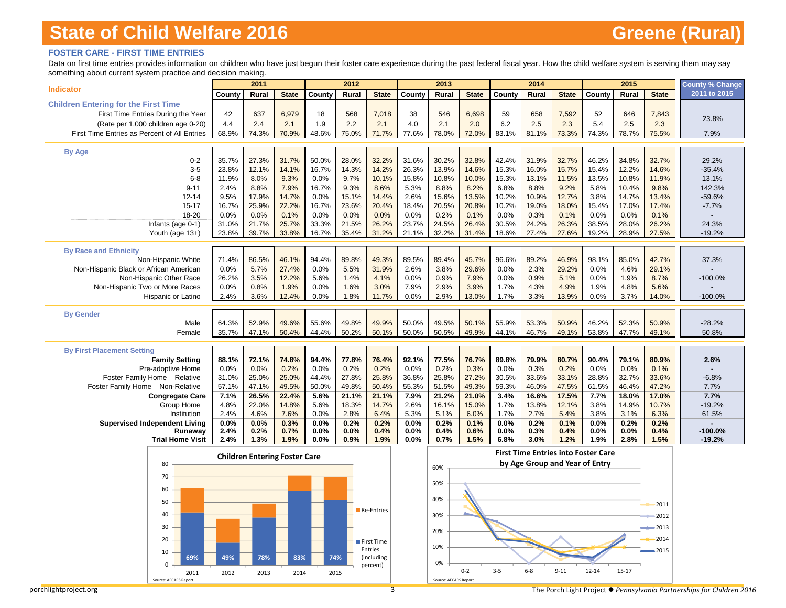### **FOSTER CARE - FIRST TIME ENTRIES**

Data on first time entries provides information on children who have just begun their foster care experience during the past federal fiscal year. How the child welfare system is serving them may say something about current system practice and decision making.

|                                                             |                | 2011                                 |                |                | 2012           |                       |                | 2013           |                |                | 2014                           |                |                                            | 2015           |                | <b>County % Change</b> |
|-------------------------------------------------------------|----------------|--------------------------------------|----------------|----------------|----------------|-----------------------|----------------|----------------|----------------|----------------|--------------------------------|----------------|--------------------------------------------|----------------|----------------|------------------------|
| <b>Indicator</b>                                            | County         | Rural                                | <b>State</b>   | County         | Rural          | <b>State</b>          | County         | Rural          | <b>State</b>   | County         | Rural                          | <b>State</b>   | County                                     | Rural          | <b>State</b>   | 2011 to 2015           |
| <b>Children Entering for the First Time</b>                 |                |                                      |                |                |                |                       |                |                |                |                |                                |                |                                            |                |                |                        |
| First Time Entries During the Year                          | 42             | 637                                  | 6,979          | 18             | 568            | 7,018                 | 38             | 546            | 6,698          | 59             | 658                            | 7,592          | 52                                         | 646            | 7,843          |                        |
| (Rate per 1,000 children age 0-20)                          | 4.4            | 2.4                                  | 2.1            | 1.9            | 2.2            | 2.1                   | 4.0            | 2.1            | 2.0            | 6.2            | 2.5                            | 2.3            | 5.4                                        | 2.5            | 2.3            | 23.8%                  |
| First Time Entries as Percent of All Entries                | 68.9%          | 74.3%                                | 70.9%          | 48.6%          | 75.0%          | 71.7%                 | 77.6%          | 78.0%          | 72.0%          | 83.1%          | 81.1%                          | 73.3%          | 74.3%                                      | 78.7%          | 75.5%          | 7.9%                   |
| <b>By Age</b>                                               |                |                                      |                |                |                |                       |                |                |                |                |                                |                |                                            |                |                |                        |
| $0 - 2$                                                     | 35.7%          | 27.3%                                | 31.7%          | 50.0%          | 28.0%          | 32.2%                 | 31.6%          | 30.2%          | 32.8%          | 42.4%          | 31.9%                          | 32.7%          | 46.2%                                      | 34.8%          | 32.7%          | 29.2%                  |
| $3-5$                                                       | 23.8%          | 12.1%                                | 14.1%          | 16.7%          | 14.3%          | 14.2%                 | 26.3%          | 13.9%          | 14.6%          | 15.3%          | 16.0%                          | 15.7%          | 15.4%                                      | 12.2%          | 14.6%          | $-35.4%$               |
| $6 - 8$                                                     | 11.9%          | 8.0%                                 | 9.3%           | 0.0%           | 9.7%           | 10.1%                 | 15.8%          | 10.8%          | 10.0%          | 15.3%          | 13.1%                          | 11.5%          | 13.5%                                      | 10.8%          | 11.9%          | 13.1%                  |
| $9 - 11$                                                    | 2.4%           | 8.8%                                 | 7.9%           | 16.7%          | 9.3%           | 8.6%                  | 5.3%           | 8.8%           | 8.2%           | 6.8%           | 8.8%                           | 9.2%           | 5.8%                                       | 10.4%          | 9.8%           | 142.3%                 |
| $12 - 14$                                                   | 9.5%           | 17.9%                                | 14.7%          | 0.0%           | 15.1%          | 14.4%                 | 2.6%           | 15.6%          | 13.5%          | 10.2%          | 10.9%                          | 12.7%          | 3.8%                                       | 14.7%          | 13.4%          | -59.6%                 |
| $15 - 17$                                                   | 16.7%          | 25.9%                                | 22.2%          | 16.7%          | 23.6%          | 20.4%                 | 18.4%          | 20.5%          | 20.8%          | 10.2%          | 19.0%                          | 18.0%          | 15.4%                                      | 17.0%          | 17.4%          | $-7.7%$                |
| 18-20                                                       | 0.0%           | 0.0%                                 | 0.1%           | 0.0%           | 0.0%           | 0.0%                  | 0.0%           | 0.2%           | 0.1%           | 0.0%           | 0.3%                           | 0.1%           | 0.0%                                       | 0.0%           | 0.1%           |                        |
| Infants (age 0-1)<br>Youth (age 13+)                        | 31.0%<br>23.8% | 21.7%<br>39.7%                       | 25.7%<br>33.8% | 33.3%<br>16.7% | 21.5%<br>35.4% | 26.2%<br>31.2%        | 23.7%<br>21.1% | 24.5%<br>32.2% | 26.4%<br>31.4% | 30.5%<br>18.6% | 24.2%<br>27.4%                 | 26.3%<br>27.6% | 38.5%<br>19.2%                             | 28.0%<br>28.9% | 26.2%<br>27.5% | 24.3%<br>$-19.2%$      |
|                                                             |                |                                      |                |                |                |                       |                |                |                |                |                                |                |                                            |                |                |                        |
| <b>By Race and Ethnicity</b>                                |                |                                      |                |                |                |                       |                |                |                |                |                                |                |                                            |                |                |                        |
| Non-Hispanic White                                          | 71.4%          | 86.5%                                | 46.1%          | 94.4%          | 89.8%          | 49.3%                 | 89.5%          | 89.4%          | 45.7%          | 96.6%          | 89.2%                          | 46.9%          | 98.1%                                      | 85.0%          | 42.7%          | 37.3%                  |
| Non-Hispanic Black or African American                      | 0.0%           | 5.7%                                 | 27.4%          | 0.0%           | 5.5%           | 31.9%                 | 2.6%           | 3.8%           | 29.6%          | 0.0%           | 2.3%                           | 29.2%          | 0.0%                                       | 4.6%           | 29.1%          |                        |
| Non-Hispanic Other Race                                     | 26.2%          | 3.5%                                 | 12.2%          | 5.6%           | 1.4%           | 4.1%                  | 0.0%           | 0.9%           | 7.9%           | 0.0%           | 0.9%                           | 5.1%           | 0.0%                                       | 1.9%           | 8.7%           | $-100.0%$              |
| Non-Hispanic Two or More Races<br><b>Hispanic or Latino</b> | 0.0%           | 0.8%<br>3.6%                         | 1.9%           | 0.0%           | 1.6%<br>1.8%   | 3.0%                  | 7.9%           | 2.9%           | 3.9%           | 1.7%           | 4.3%                           | 4.9%<br>13.9%  | 1.9%<br>0.0%                               | 4.8%           | 5.6%           |                        |
|                                                             | 2.4%           |                                      | 12.4%          | 0.0%           |                | 11.7%                 | 0.0%           | 2.9%           | 13.0%          | 1.7%           | 3.3%                           |                |                                            | 3.7%           | 14.0%          | $-100.0%$              |
| <b>By Gender</b>                                            |                |                                      |                |                |                |                       |                |                |                |                |                                |                |                                            |                |                |                        |
| Male                                                        | 64.3%          | 52.9%                                | 49.6%          | 55.6%          | 49.8%          | 49.9%                 | 50.0%          | 49.5%          | 50.1%          | 55.9%          | 53.3%                          | 50.9%          | 46.2%                                      | 52.3%          | 50.9%          | $-28.2%$               |
| Female                                                      | 35.7%          | 47.1%                                | 50.4%          | 44.4%          | 50.2%          | 50.1%                 | 50.0%          | 50.5%          | 49.9%          | 44.1%          | 46.7%                          | 49.1%          | 53.8%                                      | 47.7%          | 49.1%          | 50.8%                  |
| <b>By First Placement Setting</b>                           |                |                                      |                |                |                |                       |                |                |                |                |                                |                |                                            |                |                |                        |
| <b>Family Setting</b>                                       | 88.1%          | 72.1%                                | 74.8%          | 94.4%          | 77.8%          | 76.4%                 | 92.1%          | 77.5%          | 76.7%          | 89.8%          | 79.9%                          | 80.7%          | 90.4%                                      | 79.1%          | 80.9%          | 2.6%                   |
| Pre-adoptive Home                                           | 0.0%           | 0.0%                                 | 0.2%           | 0.0%           | 0.2%           | 0.2%                  | 0.0%           | 0.2%           | 0.3%           | 0.0%           | 0.3%                           | 0.2%           | 0.0%                                       | 0.0%           | 0.1%           |                        |
| Foster Family Home - Relative                               | 31.0%          | 25.0%                                | 25.0%          | 44.4%          | 27.8%          | 25.8%                 | 36.8%          | 25.8%          | 27.2%          | 30.5%          | 33.6%                          | 33.1%          | 28.8%                                      | 32.7%          | 33.6%          | $-6.8%$                |
| Foster Family Home - Non-Relative                           | 57.1%          | 47.1%                                | 49.5%          | 50.0%          | 49.8%          | 50.4%                 | 55.3%          | 51.5%          | 49.3%          | 59.3%          | 46.0%                          | 47.5%          | 61.5%                                      | 46.4%          | 47.2%          | 7.7%                   |
| <b>Congregate Care</b>                                      | 7.1%           | 26.5%                                | 22.4%          | 5.6%           | 21.1%          | 21.1%                 | 7.9%           | 21.2%          | 21.0%          | 3.4%           | 16.6%                          | 17.5%          | 7.7%                                       | 18.0%          | 17.0%          | 7.7%                   |
| Group Home                                                  | 4.8%           | 22.0%                                | 14.8%          | 5.6%           | 18.3%          | 14.7%                 | 2.6%           | 16.1%          | 15.0%          | 1.7%           | 13.8%                          | 12.1%          | 3.8%                                       | 14.9%          | 10.7%          | $-19.2%$               |
| Institution                                                 | 2.4%           | 4.6%                                 | 7.6%           | 0.0%           | 2.8%           | 6.4%                  | 5.3%           | 5.1%           | 6.0%           | 1.7%           | 2.7%                           | 5.4%           | 3.8%                                       | 3.1%           | 6.3%           | 61.5%                  |
| <b>Supervised Independent Living</b><br>Runaway             | 0.0%<br>2.4%   | 0.0%<br>0.2%                         | 0.3%<br>0.7%   | 0.0%<br>0.0%   | 0.2%<br>0.0%   | 0.2%<br>0.4%          | 0.0%<br>0.0%   | 0.2%<br>0.4%   | 0.1%<br>0.6%   | 0.0%<br>0.0%   | 0.2%<br>0.3%                   | 0.1%<br>0.4%   | 0.0%<br>0.0%                               | 0.2%<br>0.0%   | 0.2%<br>0.4%   | $-100.0%$              |
| <b>Trial Home Visit</b>                                     | 2.4%           | 1.3%                                 | 1.9%           | 0.0%           | 0.9%           | 1.9%                  | 0.0%           | 0.7%           | 1.5%           | 6.8%           | 3.0%                           | 1.2%           | 1.9%                                       | 2.8%           | 1.5%           | $-19.2%$               |
|                                                             |                |                                      |                |                |                |                       |                |                |                |                |                                |                | <b>First Time Entries into Foster Care</b> |                |                |                        |
| 80                                                          |                | <b>Children Entering Foster Care</b> |                |                |                |                       |                |                |                |                | by Age Group and Year of Entry |                |                                            |                |                |                        |
| 70                                                          |                |                                      |                |                |                |                       |                | 60%            |                |                |                                |                |                                            |                |                |                        |
|                                                             |                |                                      |                |                |                |                       |                | 50%            |                |                |                                |                |                                            |                |                |                        |
| 60                                                          |                |                                      |                |                |                |                       |                |                |                |                |                                |                |                                            |                |                |                        |
| 50                                                          |                |                                      |                |                |                |                       |                | 40%            |                |                |                                |                |                                            |                | 2011           |                        |
| 40                                                          |                |                                      |                |                |                | Re-Entries            |                | 30%            |                |                |                                |                |                                            |                | 2012           |                        |
| 30                                                          |                |                                      |                |                |                |                       |                |                |                |                |                                |                |                                            |                |                |                        |
|                                                             |                |                                      |                |                |                |                       |                | 20%            |                |                |                                |                |                                            |                | $-2013$        |                        |
| 20                                                          |                |                                      |                |                |                | First Time            |                | 10%            |                |                |                                |                |                                            |                | 2014           |                        |
| 10<br>69%                                                   | 49%            | 78%                                  | 83%            | 74%            |                | Entries<br>(including |                |                |                |                |                                |                |                                            |                | 2015           |                        |
| $\Omega$                                                    |                |                                      |                |                |                | percent)              |                | <b>0%</b>      |                |                |                                |                |                                            |                |                |                        |
| 2011                                                        | 2012           | 2013                                 | 2014           |                | 2015           |                       |                |                | $0 - 2$        | $3 - 5$        | $6 - 8$                        | $9 - 11$       | 12-14                                      | $15 - 17$      |                |                        |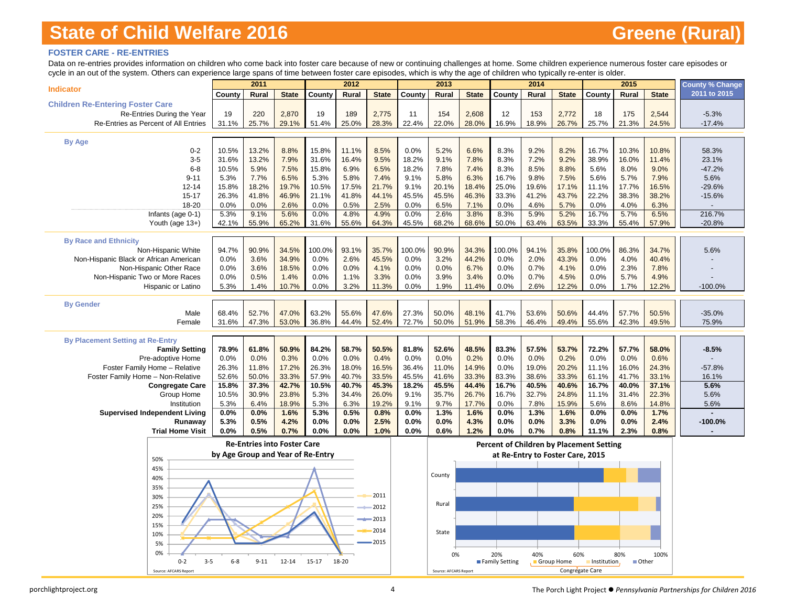### **FOSTER CARE - RE-ENTRIES**

Data on re-entries provides information on children who come back into foster care because of new or continuing challenges at home. Some children experience numerous foster care episodes or cycle in an out of the system. Others can experience large spans of time between foster care episodes, which is why the age of children who typically re-enter is older.

| an out or the system. Others can experience large spans or time between roster care episodes, which is wrightedge or children who typically re-enter is older. |                                   | 2011                               |               |              | 2012         |               |              | 2013                  |               |                       | 2014                             |                   |                                                 | 2015         |               | <b>County % Change</b> |
|----------------------------------------------------------------------------------------------------------------------------------------------------------------|-----------------------------------|------------------------------------|---------------|--------------|--------------|---------------|--------------|-----------------------|---------------|-----------------------|----------------------------------|-------------------|-------------------------------------------------|--------------|---------------|------------------------|
| <b>Indicator</b>                                                                                                                                               | County                            | Rural                              | <b>State</b>  | County       | Rural        | <b>State</b>  | County       | Rural                 | <b>State</b>  | County                | Rural                            | <b>State</b>      | County                                          | Rural        | <b>State</b>  | 2011 to 2015           |
| <b>Children Re-Entering Foster Care</b>                                                                                                                        |                                   |                                    |               |              |              |               |              |                       |               |                       |                                  |                   |                                                 |              |               |                        |
| Re-Entries During the Year                                                                                                                                     | 19                                | 220                                | 2,870         | 19           | 189          | 2,775         | 11           | 154                   | 2,608         | 12                    | 153                              | 2,772             | 18                                              | 175          | 2,544         | $-5.3%$                |
| Re-Entries as Percent of All Entries                                                                                                                           | 31.1%                             | 25.7%                              | 29.1%         | 51.4%        | 25.0%        | 28.3%         | 22.4%        | 22.0%                 | 28.0%         | 16.9%                 | 18.9%                            | 26.7%             | 25.7%                                           | 21.3%        | 24.5%         | $-17.4%$               |
|                                                                                                                                                                |                                   |                                    |               |              |              |               |              |                       |               |                       |                                  |                   |                                                 |              |               |                        |
| <b>By Age</b>                                                                                                                                                  |                                   |                                    |               |              |              |               |              |                       |               |                       |                                  |                   |                                                 |              |               |                        |
| $0 - 2$                                                                                                                                                        | 10.5%                             | 13.2%                              | 8.8%          | 15.8%        | 11.1%        | 8.5%          | 0.0%         | 5.2%                  | 6.6%          | 8.3%                  | 9.2%                             | 8.2%              | 16.7%                                           | 10.3%        | 10.8%         | 58.3%                  |
| $3-5$                                                                                                                                                          | 31.6%                             | 13.2%                              | 7.9%          | 31.6%        | 16.4%        | 9.5%          | 18.2%        | 9.1%                  | 7.8%          | 8.3%                  | 7.2%                             | 9.2%              | 38.9%                                           | 16.0%        | 11.4%         | 23.1%                  |
| $6 - 8$                                                                                                                                                        | 10.5%                             | 5.9%                               | 7.5%          | 15.8%        | 6.9%         | 6.5%          | 18.2%        | 7.8%                  | 7.4%          | 8.3%                  | 8.5%                             | 8.8%              | 5.6%                                            | 8.0%         | 9.0%          | $-47.2%$               |
| $9 - 11$                                                                                                                                                       | 5.3%                              | 7.7%                               | 6.5%          | 5.3%         | 5.8%         | 7.4%          | 9.1%         | 5.8%                  | 6.3%          | 16.7%                 | 9.8%                             | 7.5%              | 5.6%                                            | 5.7%         | 7.9%          | 5.6%                   |
| $12 - 14$                                                                                                                                                      | 15.8%                             | 18.2%                              | 19.7%         | 10.5%        | 17.5%        | 21.7%         | 9.1%         | 20.1%                 | 18.4%         | 25.0%                 | 19.6%                            | 17.1%             | 11.1%                                           | 17.7%        | 16.5%         | $-29.6%$               |
| $15 - 17$                                                                                                                                                      | 26.3%                             | 41.8%                              | 46.9%         | 21.1%        | 41.8%        | 44.1%         | 45.5%        | 45.5%                 | 46.3%         | 33.3%                 | 41.2%                            | 43.7%             | 22.2%                                           | 38.3%        | 38.2%         | $-15.6%$               |
| 18-20                                                                                                                                                          | 0.0%                              | 0.0%                               | 2.6%          | 0.0%         | 0.5%         | 2.5%          | 0.0%         | 6.5%                  | 7.1%          | 0.0%                  | 4.6%                             | 5.7%              | 0.0%                                            | 4.0%         | 6.3%          |                        |
| Infants (age 0-1)                                                                                                                                              | 5.3%                              | 9.1%                               | 5.6%          | 0.0%         | 4.8%         | 4.9%          | 0.0%         | 2.6%                  | 3.8%          | 8.3%                  | 5.9%                             | 5.2%              | 16.7%                                           | 5.7%         | 6.5%          | 216.7%                 |
| Youth (age 13+)                                                                                                                                                | 42.1%                             | 55.9%                              | 65.2%         | 31.6%        | 55.6%        | 64.3%         | 45.5%        | 68.2%                 | 68.6%         | 50.0%                 | 63.4%                            | 63.5%             | 33.3%                                           | 55.4%        | 57.9%         | $-20.8%$               |
|                                                                                                                                                                |                                   |                                    |               |              |              |               |              |                       |               |                       |                                  |                   |                                                 |              |               |                        |
| <b>By Race and Ethnicity</b>                                                                                                                                   |                                   |                                    |               |              |              |               |              |                       |               |                       |                                  |                   |                                                 |              |               |                        |
| Non-Hispanic White                                                                                                                                             | 94.7%                             | 90.9%                              | 34.5%         | 100.0%       | 93.1%        | 35.7%         | 100.0%       | 90.9%                 | 34.3%         | 100.0%                | 94.1%                            | 35.8%             | 100.0%                                          | 86.3%        | 34.7%         | 5.6%                   |
| Non-Hispanic Black or African American                                                                                                                         | 0.0%                              | 3.6%                               | 34.9%         | 0.0%         | 2.6%         | 45.5%         | 0.0%         | 3.2%                  | 44.2%         | 0.0%                  | 2.0%                             | 43.3%             | 0.0%                                            | 4.0%         | 40.4%         |                        |
| Non-Hispanic Other Race                                                                                                                                        | 0.0%                              | 3.6%                               | 18.5%         | 0.0%         | 0.0%         | 4.1%          | 0.0%         | 0.0%                  | 6.7%          | 0.0%                  | 0.7%                             | 4.1%              | 0.0%                                            | 2.3%         | 7.8%          |                        |
| Non-Hispanic Two or More Races<br><b>Hispanic or Latino</b>                                                                                                    | 0.0%<br>5.3%                      | 0.5%<br>1.4%                       | 1.4%<br>10.7% | 0.0%<br>0.0% | 1.1%<br>3.2% | 3.3%<br>11.3% | 0.0%<br>0.0% | 3.9%<br>1.9%          | 3.4%<br>11.4% | 0.0%<br>0.0%          | 0.7%<br>2.6%                     | 4.5%<br>12.2%     | 0.0%<br>0.0%                                    | 5.7%<br>1.7% | 4.9%<br>12.2% | $-100.0%$              |
|                                                                                                                                                                |                                   |                                    |               |              |              |               |              |                       |               |                       |                                  |                   |                                                 |              |               |                        |
| <b>By Gender</b>                                                                                                                                               |                                   |                                    |               |              |              |               |              |                       |               |                       |                                  |                   |                                                 |              |               |                        |
| Male                                                                                                                                                           | 68.4%                             | 52.7%                              | 47.0%         | 63.2%        | 55.6%        | 47.6%         | 27.3%        | 50.0%                 | 48.1%         | 41.7%                 | 53.6%                            | 50.6%             | 44.4%                                           | 57.7%        | 50.5%         | $-35.0%$               |
| Female                                                                                                                                                         | 31.6%                             | 47.3%                              | 53.0%         | 36.8%        | 44.4%        | 52.4%         | 72.7%        | 50.0%                 | 51.9%         | 58.3%                 | 46.4%                            | 49.4%             | 55.6%                                           | 42.3%        | 49.5%         | 75.9%                  |
|                                                                                                                                                                |                                   |                                    |               |              |              |               |              |                       |               |                       |                                  |                   |                                                 |              |               |                        |
| <b>By Placement Setting at Re-Entry</b>                                                                                                                        |                                   |                                    |               |              |              |               |              |                       |               |                       |                                  |                   |                                                 |              |               |                        |
| <b>Family Setting</b>                                                                                                                                          | 78.9%                             | 61.8%                              | 50.9%         | 84.2%        | 58.7%        | 50.5%         | 81.8%        | 52.6%                 | 48.5%         | 83.3%                 | 57.5%                            | 53.7%             | 72.2%                                           | 57.7%        | 58.0%         | $-8.5%$                |
| Pre-adoptive Home                                                                                                                                              | 0.0%                              | 0.0%                               | 0.3%          | 0.0%         | 0.0%         | 0.4%          | 0.0%         | 0.0%                  | 0.2%          | 0.0%                  | 0.0%                             | 0.2%              | 0.0%                                            | 0.0%         | 0.6%          |                        |
| Foster Family Home - Relative                                                                                                                                  | 26.3%                             | 11.8%                              | 17.2%         | 26.3%        | 18.0%        | 16.5%         | 36.4%        | 11.0%                 | 14.9%         | 0.0%                  | 19.0%                            | 20.2%             | 11.1%                                           | 16.0%        | 24.3%         | $-57.8%$               |
| Foster Family Home - Non-Relative                                                                                                                              | 52.6%                             | 50.0%                              | 33.3%         | 57.9%        | 40.7%        | 33.5%         | 45.5%        | 41.6%                 | 33.3%         | 83.3%                 | 38.6%                            | 33.3%             | 61.1%                                           | 41.7%        | 33.1%         | 16.1%                  |
| <b>Congregate Care</b>                                                                                                                                         | 15.8%                             | 37.3%                              | 42.7%         | 10.5%        | 40.7%        | 45.3%         | 18.2%        | 45.5%                 | 44.4%         | 16.7%                 | 40.5%                            | 40.6%             | 16.7%                                           | 40.0%        | 37.1%         | 5.6%                   |
| Group Home                                                                                                                                                     | 10.5%                             | 30.9%                              | 23.8%         | 5.3%         | 34.4%        | 26.0%         | 9.1%         | 35.7%                 | 26.7%         | 16.7%                 | 32.7%                            | 24.8%             | 11.1%                                           | 31.4%        | 22.3%         | 5.6%                   |
| Institution                                                                                                                                                    | 5.3%                              | 6.4%                               | 18.9%         | 5.3%         | 6.3%         | 19.2%         | 9.1%         | 9.7%                  | 17.7%         | 0.0%                  | 7.8%                             | 15.9%             | 5.6%                                            | 8.6%         | 14.8%         | 5.6%                   |
| <b>Supervised Independent Living</b>                                                                                                                           | 0.0%                              | 0.0%                               | 1.6%          | 5.3%         | 0.5%         | 0.8%          | 0.0%         | 1.3%                  | 1.6%          | 0.0%                  | 1.3%                             | 1.6%              | 0.0%                                            | 0.0%         | 1.7%          |                        |
| Runaway                                                                                                                                                        | 5.3%                              | 0.5%                               | 4.2%          | 0.0%         | 0.0%         | 2.5%          | 0.0%         | 0.0%                  | 4.3%          | 0.0%                  | 0.0%                             | 3.3%              | 0.0%                                            | 0.0%         | 2.4%          | $-100.0%$              |
| <b>Trial Home Visit</b>                                                                                                                                        | 0.0%                              | 0.5%                               | 0.7%          | 0.0%         | 0.0%         | 1.0%          | 0.0%         | 0.6%                  | 1.2%          | 0.0%                  | 0.7%                             | 0.8%              | 11.1%                                           | 2.3%         | 0.8%          |                        |
|                                                                                                                                                                |                                   | <b>Re-Entries into Foster Care</b> |               |              |              |               |              |                       |               |                       |                                  |                   | <b>Percent of Children by Placement Setting</b> |              |               |                        |
|                                                                                                                                                                | by Age Group and Year of Re-Entry |                                    |               |              |              |               |              |                       |               |                       | at Re-Entry to Foster Care, 2015 |                   |                                                 |              |               |                        |
| 50%                                                                                                                                                            |                                   |                                    |               |              |              |               |              |                       |               |                       |                                  |                   |                                                 |              |               |                        |
| 45%                                                                                                                                                            |                                   |                                    |               |              |              |               |              | County                |               |                       |                                  |                   |                                                 |              |               |                        |
| 40%                                                                                                                                                            |                                   |                                    |               |              |              |               |              |                       |               |                       |                                  |                   |                                                 |              |               |                        |
| 35%                                                                                                                                                            |                                   |                                    |               |              |              | 2011          |              |                       |               |                       |                                  |                   |                                                 |              |               |                        |
| 30%                                                                                                                                                            |                                   |                                    |               |              |              |               |              | Rural                 |               |                       |                                  |                   |                                                 |              |               |                        |
| 25%                                                                                                                                                            |                                   |                                    |               |              |              | 2012          |              |                       |               |                       |                                  |                   |                                                 |              |               |                        |
| 20%                                                                                                                                                            |                                   |                                    |               |              |              | 2013          |              |                       |               |                       |                                  |                   |                                                 |              |               |                        |
| 15%                                                                                                                                                            |                                   |                                    |               |              |              | 2014          |              | State                 |               |                       |                                  |                   |                                                 |              |               |                        |
| 10%                                                                                                                                                            |                                   |                                    |               |              |              | 2015          |              |                       |               |                       |                                  |                   |                                                 |              |               |                        |
| 5%                                                                                                                                                             |                                   |                                    |               |              |              |               |              |                       |               |                       |                                  |                   |                                                 |              |               |                        |
| 0%<br>$0 - 2$<br>$3 - 5$                                                                                                                                       | $6 - 8$                           | $9 - 11$                           | $12 - 14$     | $15 - 17$    | 18-20        |               |              | 0%                    |               | 20%<br>Family Setting | 40%                              | 60%<br>Group Home | Institution                                     | 80%<br>Other | 100%          |                        |
| Source: AFCARS Report                                                                                                                                          |                                   |                                    |               |              |              |               |              | Source: AFCARS Report |               |                       |                                  | Congregate Care   |                                                 |              |               |                        |
|                                                                                                                                                                |                                   |                                    |               |              |              |               |              |                       |               |                       |                                  |                   |                                                 |              |               |                        |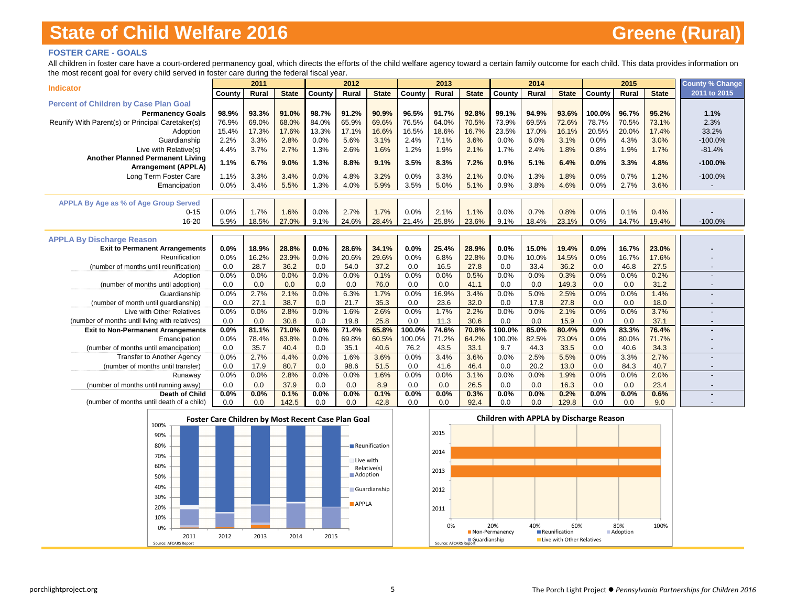### **FOSTER CARE - GOALS**

All children in foster care have a court-ordered permanency goal, which directs the efforts of the child welfare agency toward a certain family outcome for each child. This data provides information on the most recent goal for every child served in foster care during the federal fiscal year.

|                                                                                             |             | 2011         |               |             | 2012          |               |               | 2013          |               |               | 2014         |               |             | 2015         |               | <b>County % Change</b>   |
|---------------------------------------------------------------------------------------------|-------------|--------------|---------------|-------------|---------------|---------------|---------------|---------------|---------------|---------------|--------------|---------------|-------------|--------------|---------------|--------------------------|
| <b>Indicator</b>                                                                            | County      | Rural        | <b>State</b>  | County      | Rural         | <b>State</b>  | County        | Rural         | <b>State</b>  | County        | Rural        | <b>State</b>  | County      | Rural        | <b>State</b>  | 2011 to 2015             |
| <b>Percent of Children by Case Plan Goal</b>                                                |             |              |               |             |               |               |               |               |               |               |              |               |             |              |               |                          |
| <b>Permanency Goals</b>                                                                     | 98.9%       | 93.3%        | 91.0%         | 98.7%       | 91.2%         | 90.9%         | 96.5%         | 91.7%         | 92.8%         | 99.1%         | 94.9%        | 93.6%         | 100.0%      | 96.7%        | 95.2%         | 1.1%                     |
| Reunify With Parent(s) or Principal Caretaker(s)                                            | 76.9%       | 69.0%        | 68.0%         | 84.0%       | 65.9%         | 69.6%         | 76.5%         | 64.0%         | 70.5%         | 73.9%         | 69.5%        | 72.6%         | 78.7%       | 70.5%        | 73.1%         | 2.3%                     |
| Adoption                                                                                    | 15.4%       | 17.3%        | 17.6%         | 13.3%       | 17.1%         | 16.6%         | 16.5%         | 18.6%         | 16.7%         | 23.5%         | 17.0%        | 16.1%         | 20.5%       | 20.0%        | 17.4%         | 33.2%                    |
| Guardianship                                                                                | 2.2%        | 3.3%         | 2.8%          | 0.0%        | 5.6%          | 3.1%          | 2.4%          | 7.1%          | 3.6%          | 0.0%          | 6.0%         | 3.1%          | 0.0%        | 4.3%         | 3.0%          | $-100.0%$                |
| Live with Relative(s)                                                                       | 4.4%        | 3.7%         | 2.7%          | 1.3%        | 2.6%          | 1.6%          | 1.2%          | 1.9%          | 2.1%          | 1.7%          | 2.4%         | 1.8%          | 0.8%        | 1.9%         | 1.7%          | $-81.4%$                 |
| <b>Another Planned Permanent Living</b>                                                     | 1.1%        | 6.7%         | 9.0%          | 1.3%        | 8.8%          | 9.1%          | 3.5%          | 8.3%          | 7.2%          | 0.9%          | 5.1%         | 6.4%          | 0.0%        | 3.3%         | 4.8%          | $-100.0%$                |
| <b>Arrangement (APPLA)</b>                                                                  |             |              |               |             |               |               |               |               |               |               |              |               |             |              |               |                          |
| Long Term Foster Care                                                                       | 1.1%        | 3.3%         | 3.4%          | 0.0%        | 4.8%          | 3.2%          | 0.0%          | 3.3%          | 2.1%          | 0.0%          | 1.3%         | 1.8%          | 0.0%        | 0.7%         | 1.2%          | $-100.0%$                |
| Emancipation                                                                                | 0.0%        | 3.4%         | 5.5%          | 1.3%        | 4.0%          | 5.9%          | 3.5%          | 5.0%          | 5.1%          | 0.9%          | 3.8%         | 4.6%          | 0.0%        | 2.7%         | 3.6%          |                          |
|                                                                                             |             |              |               |             |               |               |               |               |               |               |              |               |             |              |               |                          |
| <b>APPLA By Age as % of Age Group Served</b>                                                |             |              |               |             |               |               |               |               |               |               |              |               |             |              |               |                          |
| $0 - 15$                                                                                    | 0.0%        | 1.7%         | 1.6%          | 0.0%        | 2.7%          | 1.7%          | 0.0%          | 2.1%          | 1.1%          | 0.0%          | 0.7%         | 0.8%          | 0.0%        | 0.1%         | 0.4%          |                          |
| 16-20                                                                                       | 5.9%        | 18.5%        | 27.0%         | 9.1%        | 24.6%         | 28.4%         | 21.4%         | 25.8%         | 23.6%         | 9.1%          | 18.4%        | 23.1%         | 0.0%        | 14.7%        | 19.4%         | $-100.0%$                |
|                                                                                             |             |              |               |             |               |               |               |               |               |               |              |               |             |              |               |                          |
| <b>APPLA By Discharge Reason</b>                                                            |             |              |               |             |               |               |               |               |               |               |              |               |             |              |               |                          |
| <b>Exit to Permanent Arrangements</b>                                                       | 0.0%        | 18.9%        | 28.8%         | 0.0%        | 28.6%         | 34.1%         | 0.0%          | 25.4%         | 28.9%         | 0.0%          | 15.0%        | 19.4%         | 0.0%        | 16.7%        | 23.0%         |                          |
| Reunification                                                                               | 0.0%        | 16.2%        | 23.9%         | 0.0%        | 20.6%         | 29.6%         | 0.0%          | 6.8%          | 22.8%         | 0.0%          | 10.0%        | 14.5%         | 0.0%        | 16.7%        | 17.6%         |                          |
| (number of months until reunification)                                                      | 0.0         | 28.7         | 36.2          | 0.0         | 54.0          | 37.2          | 0.0           | 16.5          | 27.8          | 0.0           | 33.4         | 36.2          | 0.0         | 46.8         | 27.5          |                          |
| Adoption                                                                                    | 0.0%        | 0.0%         | 0.0%          | 0.0%        | 0.0%          | 0.1%          | 0.0%          | 0.0%          | 0.5%          | 0.0%          | 0.0%         | 0.3%          | 0.0%        | 0.0%         | 0.2%          |                          |
| (number of months until adoption)                                                           | 0.0         | 0.0          | 0.0           | 0.0         | 0.0           | 76.0          | 0.0           | 0.0           | 41.1          | 0.0           | 0.0          | 149.3         | 0.0         | 0.0          | 31.2          |                          |
| Guardianship                                                                                | 0.0%        | 2.7%         | 2.1%          | 0.0%        | 6.3%          | 1.7%          | 0.0%          | 16.9%         | 3.4%          | 0.0%          | 5.0%         | 2.5%          | 0.0%        | 0.0%         | 1.4%          |                          |
| (number of month until guardianship)<br>Live with Other Relatives                           | 0.0<br>0.0% | 27.1<br>0.0% | 38.7          | 0.0<br>0.0% | 21.7<br>1.6%  | 35.3          | 0.0<br>0.0%   | 23.6<br>1.7%  | 32.0<br>2.2%  | 0.0<br>0.0%   | 17.8<br>0.0% | 27.8<br>2.1%  | 0.0<br>0.0% | 0.0          | 18.0<br>3.7%  |                          |
|                                                                                             |             |              | 2.8%          |             |               | 2.6%          |               |               |               |               |              |               |             | 0.0%         |               |                          |
| (number of months until living with relatives)<br><b>Exit to Non-Permanent Arrangements</b> | 0.0<br>0.0% | 0.0<br>81.1% | 30.8<br>71.0% | 0.0<br>0.0% | 19.8<br>71.4% | 25.8<br>65.8% | 0.0<br>100.0% | 11.3<br>74.6% | 30.6<br>70.8% | 0.0<br>100.0% | 0.0<br>85.0% | 15.9<br>80.4% | 0.0<br>0.0% | 0.0<br>83.3% | 37.1<br>76.4% |                          |
| Emancipation                                                                                | 0.0%        | 78.4%        | 63.8%         | 0.0%        | 69.8%         | 60.5%         | 100.0%        | 71.2%         | 64.2%         | 100.0%        | 82.5%        | 73.0%         | 0.0%        | 80.0%        | 71.7%         |                          |
| (number of months until emancipation)                                                       | 0.0         | 35.7         | 40.4          | 0.0         | 35.1          | 40.6          | 76.2          | 43.5          | 33.1          | 9.7           | 44.3         | 33.5          | 0.0         | 40.6         | 34.3          |                          |
| <b>Transfer to Another Agency</b>                                                           | 0.0%        | 2.7%         | 4.4%          | 0.0%        | 1.6%          | 3.6%          | 0.0%          | 3.4%          | 3.6%          | 0.0%          | 2.5%         | 5.5%          | 0.0%        | 3.3%         | 2.7%          |                          |
| (number of months until transfer)                                                           | 0.0         | 17.9         | 80.7          | 0.0         | 98.6          | 51.5          | 0.0           | 41.6          | 46.4          | 0.0           | 20.2         | 13.0          | 0.0         | 84.3         | 40.7          |                          |
| Runaway                                                                                     | 0.0%        | 0.0%         | 2.8%          | 0.0%        | 0.0%          | 1.6%          | 0.0%          | 0.0%          | 3.1%          | 0.0%          | 0.0%         | 1.9%          | 0.0%        | 0.0%         | 2.0%          |                          |
| (number of months until running away)                                                       | 0.0         | 0.0          | 37.9          | 0.0         | 0.0           | 8.9           | 0.0           | 0.0           | 26.5          | 0.0           | 0.0          | 16.3          | 0.0         | 0.0          | 23.4          |                          |
| Death of Child                                                                              | 0.0%        | 0.0%         | 0.1%          | 0.0%        | 0.0%          | 0.1%          | 0.0%          | 0.0%          | 0.3%          | 0.0%          | 0.0%         | 0.2%          | 0.0%        | 0.0%         | 0.6%          | $\overline{\phantom{a}}$ |
| (number of months until death of a child)                                                   | 0.0         | 0.0          | 142.5         | 0.0         | 0.0           | 42.8          | 0.0           | 0.0           | 92.4          | 0.0           | 0.0          | 129.8         | 0.0         | 0.0          | 9.0           |                          |



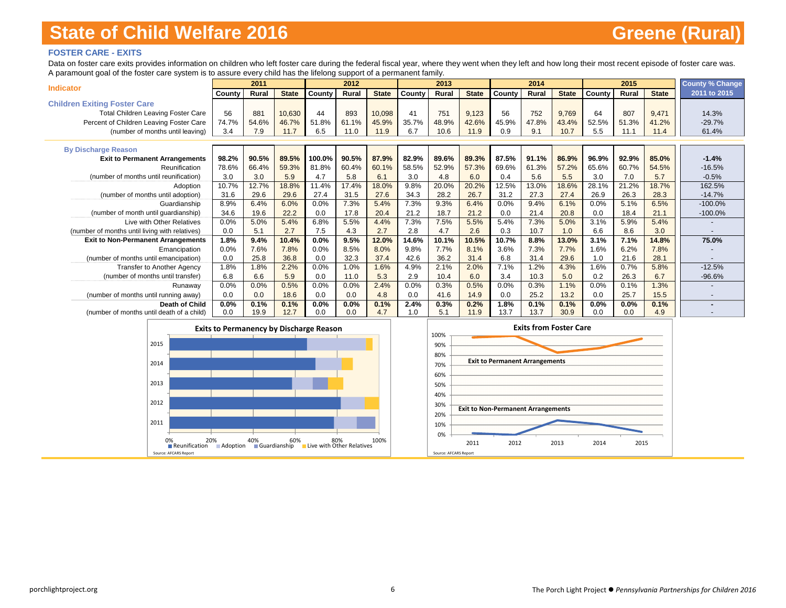### **FOSTER CARE - EXITS**

Data on foster care exits provides information on children who left foster care during the federal fiscal year, where they went when they left and how long their most recent episode of foster care was. A paramount goal of the foster care system is to assure every child has the lifelong support of a permanent family.

| <b>Indicator</b>                               |         | 2011  |              |        | 2012  |              |        | 2013  |              |        | 2014  |              |        | 2015    |              | <b>County % Change</b> |
|------------------------------------------------|---------|-------|--------------|--------|-------|--------------|--------|-------|--------------|--------|-------|--------------|--------|---------|--------------|------------------------|
|                                                | County  | Rural | <b>State</b> | County | Rural | <b>State</b> | County | Rural | <b>State</b> | County | Rural | <b>State</b> | County | Rural   | <b>State</b> | 2011 to 2015           |
| <b>Children Exiting Foster Care</b>            |         |       |              |        |       |              |        |       |              |        |       |              |        |         |              |                        |
| <b>Total Children Leaving Foster Care</b>      | 56      | 881   | 10,630       | 44     | 893   | 10,098       | 41     | 751   | 9,123        | 56     | 752   | 9,769        | 64     | 807     | 9,471        | 14.3%                  |
| Percent of Children Leaving Foster Care        | 74.7%   | 54.6% | 46.7%        | 51.8%  | 61.1% | 45.9%        | 35.7%  | 48.9% | 42.6%        | 45.9%  | 47.8% | 43.4%        | 52.5%  | 51.3%   | 41.2%        | $-29.7%$               |
| (number of months until leaving)               | 3.4     | 7.9   | 11.7         | 6.5    | 11.0  | 11.9         | 6.7    | 10.6  | 11.9         | 0.9    | 9.1   | 10.7         | 5.5    | 11.1    | 11.4         | 61.4%                  |
|                                                |         |       |              |        |       |              |        |       |              |        |       |              |        |         |              |                        |
| <b>By Discharge Reason</b>                     |         |       |              |        |       |              |        |       |              |        |       |              |        |         |              |                        |
| <b>Exit to Permanent Arrangements</b>          | 98.2%   | 90.5% | 89.5%        | 100.0% | 90.5% | 87.9%        | 82.9%  | 89.6% | 89.3%        | 87.5%  | 91.1% | 86.9%        | 96.9%  | 92.9%   | 85.0%        | $-1.4%$                |
| Reunification                                  | 78.6%   | 66.4% | 59.3%        | 81.8%  | 60.4% | 60.1%        | 58.5%  | 52.9% | 57.3%        | 69.6%  | 61.3% | 57.2%        | 65.6%  | 60.7%   | 54.5%        | $-16.5%$               |
| (number of months until reunification)         | 3.0     | 3.0   | 5.9          | 4.7    | 5.8   | 6.1          | 3.0    | 4.8   | 6.0          | 0.4    | 5.6   | 5.5          | 3.0    | 7.0     | 5.7          | $-0.5%$                |
| Adoption                                       | 10.7%   | 12.7% | 18.8%        | 11.4%  | 17.4% | 18.0%        | 9.8%   | 20.0% | 20.2%        | 12.5%  | 13.0% | 18.6%        | 28.1%  | 21.2%   | 18.7%        | 162.5%                 |
| (number of months until adoption)              | 31.6    | 29.6  | 29.6         | 27.4   | 31.5  | 27.6         | 34.3   | 28.2  | 26.7         | 31.2   | 27.3  | 27.4         | 26.9   | 26.3    | 28.3         | $-14.7%$               |
| Guardianship                                   | 8.9%    | 6.4%  | 6.0%         | 0.0%   | 7.3%  | 5.4%         | 7.3%   | 9.3%  | 6.4%         | 0.0%   | 9.4%  | 6.1%         | 0.0%   | 5.1%    | 6.5%         | $-100.0%$              |
| (number of month until guardianship)           | 34.6    | 19.6  | 22.2         | 0.0    | 17.8  | 20.4         | 21.2   | 18.7  | 21.2         | 0.0    | 21.4  | 20.8         | 0.0    | 18.4    | 21.1         | $-100.0%$              |
| Live with Other Relatives                      | 0.0%    | 5.0%  | 5.4%         | 6.8%   | 5.5%  | 4.4%         | 7.3%   | 7.5%  | 5.5%         | 5.4%   | 7.3%  | 5.0%         | 3.1%   | 5.9%    | 5.4%         |                        |
| (number of months until living with relatives) | 0.0     | 5.1   | 2.7          | 7.5    | 4.3   | 2.7          | 2.8    | 4.7   | 2.6          | 0.3    | 10.7  | 1.0          | 6.6    | 8.6     | 3.0          |                        |
| <b>Exit to Non-Permanent Arrangements</b>      | 1.8%    | 9.4%  | 10.4%        | 0.0%   | 9.5%  | 12.0%        | 14.6%  | 10.1% | 10.5%        | 10.7%  | 8.8%  | 13.0%        | 3.1%   | 7.1%    | 14.8%        | 75.0%                  |
| Emancipation                                   | 0.0%    | 7.6%  | 7.8%         | 0.0%   | 8.5%  | 8.0%         | 9.8%   | 7.7%  | 8.1%         | 3.6%   | 7.3%  | 7.7%         | 1.6%   | 6.2%    | 7.8%         |                        |
| (number of months until emancipation)          | 0.0     | 25.8  | 36.8         | 0.0    | 32.3  | 37.4         | 42.6   | 36.2  | 31.4         | 6.8    | 31.4  | 29.6         | 1.0    | 21.6    | 28.1         |                        |
| <b>Transfer to Another Agency</b>              | 1.8%    | 1.8%  | 2.2%         | 0.0%   | 1.0%  | 1.6%         | 4.9%   | 2.1%  | 2.0%         | 7.1%   | 1.2%  | 4.3%         | 1.6%   | 0.7%    | 5.8%         | $-12.5%$               |
| (number of months until transfer)              | 6.8     | 6.6   | 5.9          | 0.0    | 11.0  | 5.3          | 2.9    | 10.4  | 6.0          | 3.4    | 10.3  | 5.0          | 0.2    | 26.3    | 6.7          | $-96.6%$               |
| Runaway                                        | 0.0%    | 0.0%  | 0.5%         | 0.0%   | 0.0%  | 2.4%         | 0.0%   | 0.3%  | 0.5%         | 0.0%   | 0.3%  | 1.1%         | 0.0%   | 0.1%    | 1.3%         |                        |
| (number of months until running away)          | 0.0     | 0.0   | 18.6         | 0.0    | 0.0   | 4.8          | 0.0    | 41.6  | 14.9         | 0.0    | 25.2  | 13.2         | 0.0    | 25.7    | 15.5         |                        |
| <b>Death of Child</b>                          | $0.0\%$ | 0.1%  | 0.1%         | 0.0%   | 0.0%  | 0.1%         | 2.4%   | 0.3%  | 0.2%         | 1.8%   | 0.1%  | 0.1%         | 0.0%   | $0.0\%$ | 0.1%         |                        |
| (number of months until death of a child)      | 0.0     | 19.9  | 12.7         | 0.0    | 0.0   | 4.7          | 1.0    | 5.1   | 11.9         | 13.7   | 13.7  | 30.9         | 0.0    | 0.0     | 4.9          |                        |

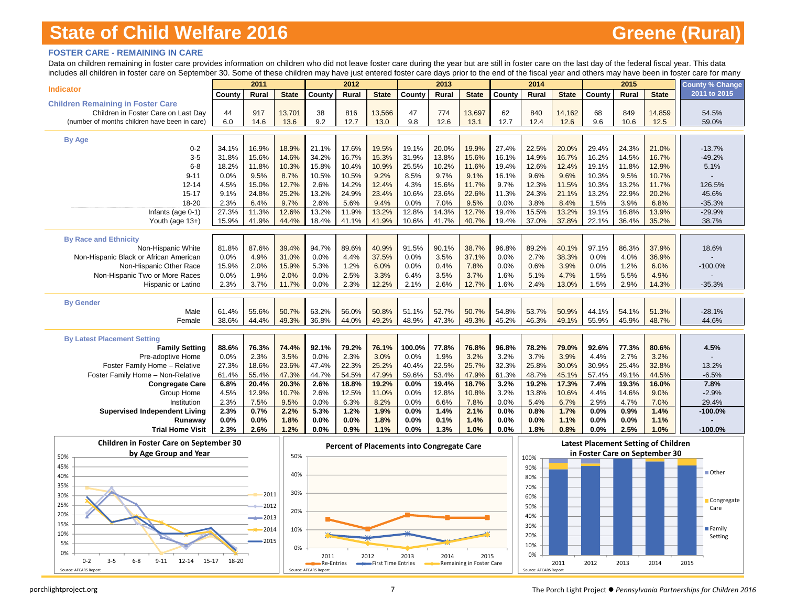### **FOSTER CARE - REMAINING IN CARE**

Data on children remaining in foster care provides information on children who did not leave foster care during the year but are still in foster care on the last day of the federal fiscal year. This data includes all children in foster care on September 30. Some of these children may have just entered foster care days prior to the end of the fiscal year and others may have been in foster care for many

|                                               |                | 2011           |               |                | 2012           |               |               | 2013           |                |                | 2014           |               |                | 2015           |                | <b>County % Change</b> |
|-----------------------------------------------|----------------|----------------|---------------|----------------|----------------|---------------|---------------|----------------|----------------|----------------|----------------|---------------|----------------|----------------|----------------|------------------------|
| <b>Indicator</b>                              | County         | <b>Rural</b>   | <b>State</b>  | County         | Rural          | <b>State</b>  | County        | <b>Rural</b>   | <b>State</b>   | County         | <b>Rural</b>   | <b>State</b>  | County         | Rural          | <b>State</b>   | 2011 to 2015           |
| <b>Children Remaining in Foster Care</b>      |                |                |               |                |                |               |               |                |                |                |                |               |                |                |                |                        |
| Children in Foster Care on Last Day           | 44             | 917            | 13,701        | 38             | 816            | 13,566        | 47            | 774            | 13,697         | 62             | 840            | 14,162        | 68             | 849            | 14,859         | 54.5%                  |
| (number of months children have been in care) | 6.0            | 14.6           | 13.6          | 9.2            | 12.7           | 13.0          | 9.8           | 12.6           | 13.1           | 12.7           | 12.4           | 12.6          | 9.6            | 10.6           | 12.5           | 59.0%                  |
|                                               |                |                |               |                |                |               |               |                |                |                |                |               |                |                |                |                        |
| <b>By Age</b>                                 |                |                |               |                |                |               |               |                |                |                |                |               |                |                |                |                        |
| $0 - 2$<br>$3-5$                              | 34.1%<br>31.8% | 16.9%<br>15.6% | 18.9%         | 21.1%          | 17.6%          | 19.5%         | 19.1%         | 20.0%<br>13.8% | 19.9%          | 27.4%          | 22.5%<br>14.9% | 20.0%         | 29.4%          | 24.3%<br>14.5% | 21.0%          | $-13.7%$<br>$-49.2%$   |
| $6 - 8$                                       | 18.2%          | 11.8%          | 14.6%         | 34.2%<br>15.8% | 16.7%<br>10.4% | 15.3%         | 31.9%         | 10.2%          | 15.6%<br>11.6% | 16.1%<br>19.4% |                | 16.7%         | 16.2%          | 11.8%          | 16.7%          | 5.1%                   |
| $9 - 11$                                      | 0.0%           | 9.5%           | 10.3%<br>8.7% | 10.5%          | 10.5%          | 10.9%<br>9.2% | 25.5%<br>8.5% | 9.7%           | 9.1%           | 16.1%          | 12.6%<br>9.6%  | 12.4%<br>9.6% | 19.1%<br>10.3% | 9.5%           | 12.9%<br>10.7% |                        |
| $12 - 14$                                     | 4.5%           | 15.0%          | 12.7%         | 2.6%           | 14.2%          | 12.4%         | 4.3%          | 15.6%          | 11.7%          | 9.7%           | 12.3%          | 11.5%         | 10.3%          | 13.2%          | 11.7%          | 126.5%                 |
| $15 - 17$                                     | 9.1%           | 24.8%          | 25.2%         | 13.2%          | 24.9%          | 23.4%         | 10.6%         | 23.6%          | 22.6%          | 11.3%          | 24.3%          | 21.1%         | 13.2%          | 22.9%          | 20.2%          | 45.6%                  |
| 18-20                                         | 2.3%           | 6.4%           | 9.7%          | 2.6%           | 5.6%           | 9.4%          | 0.0%          | 7.0%           | 9.5%           | 0.0%           | 3.8%           | 8.4%          | 1.5%           | 3.9%           | 6.8%           | $-35.3%$               |
| Infants (age 0-1)                             | 27.3%          | 11.3%          | 12.6%         | 13.2%          | 11.9%          | 13.2%         | 12.8%         | 14.3%          | 12.7%          | 19.4%          | 15.5%          | 13.2%         | 19.1%          | 16.8%          | 13.9%          | $-29.9%$               |
| Youth (age 13+)                               | 15.9%          | 41.9%          | 44.4%         | 18.4%          | 41.1%          | 41.9%         | 10.6%         | 41.7%          | 40.7%          | 19.4%          | 37.0%          | 37.8%         | 22.1%          | 36.4%          | 35.2%          | 38.7%                  |
|                                               |                |                |               |                |                |               |               |                |                |                |                |               |                |                |                |                        |
| <b>By Race and Ethnicity</b>                  |                |                |               |                |                |               |               |                |                |                |                |               |                |                |                |                        |
| Non-Hispanic White                            | 81.8%          | 87.6%          | 39.4%         | 94.7%          | 89.6%          | 40.9%         | 91.5%         | 90.1%          | 38.7%          | 96.8%          | 89.2%          | 40.1%         | 97.1%          | 86.3%          | 37.9%          | 18.6%                  |
| Non-Hispanic Black or African American        | 0.0%           | 4.9%           | 31.0%         | 0.0%           | 4.4%           | 37.5%         | 0.0%          | 3.5%           | 37.1%          | 0.0%           | 2.7%           | 38.3%         | 0.0%           | 4.0%           | 36.9%          |                        |
| Non-Hispanic Other Race                       | 15.9%          | 2.0%           | 15.9%         | 5.3%           | 1.2%           | 6.0%          | 0.0%          | 0.4%           | 7.8%           | 0.0%           | 0.6%           | 3.9%          | 0.0%           | 1.2%           | 6.0%           | $-100.0%$              |
| Non-Hispanic Two or More Races                | 0.0%           | 1.9%           | 2.0%          | 0.0%           | 2.5%           | 3.3%          | 6.4%          | 3.5%           | 3.7%           | 1.6%           | 5.1%           | 4.7%          | 1.5%           | 5.5%           | 4.9%           |                        |
| Hispanic or Latino                            | 2.3%           | 3.7%           | 11.7%         | 0.0%           | 2.3%           | 12.2%         | 2.1%          | 2.6%           | 12.7%          | 1.6%           | 2.4%           | 13.0%         | 1.5%           | 2.9%           | 14.3%          | $-35.3%$               |
|                                               |                |                |               |                |                |               |               |                |                |                |                |               |                |                |                |                        |
| <b>By Gender</b>                              |                |                |               |                |                |               |               |                |                |                |                |               |                |                |                |                        |
| Male                                          | 61.4%          | 55.6%          | 50.7%         | 63.2%          | 56.0%          | 50.8%         | 51.1%         | 52.7%          | 50.7%          | 54.8%          | 53.7%          | 50.9%         | 44.1%          | 54.1%          | 51.3%          | $-28.1%$               |
| Female                                        | 38.6%          | 44.4%          | 49.3%         | 36.8%          | 44.0%          | 49.2%         | 48.9%         | 47.3%          | 49.3%          | 45.2%          | 46.3%          | 49.1%         | 55.9%          | 45.9%          | 48.7%          | 44.6%                  |
|                                               |                |                |               |                |                |               |               |                |                |                |                |               |                |                |                |                        |
| <b>By Latest Placement Setting</b>            |                |                |               |                |                |               |               |                |                |                |                |               |                |                |                |                        |
| <b>Family Setting</b>                         | 88.6%          | 76.3%          | 74.4%         | 92.1%          | 79.2%          | 76.1%         | 100.0%        | 77.8%          | 76.8%          | 96.8%          | 78.2%          | 79.0%         | 92.6%          | 77.3%          | 80.6%          | 4.5%                   |
| Pre-adoptive Home                             | 0.0%           | 2.3%           | 3.5%          | 0.0%           | 2.3%           | 3.0%          | 0.0%          | 1.9%           | 3.2%           | 3.2%           | 3.7%           | 3.9%          | 4.4%           | 2.7%           | 3.2%           |                        |
| Foster Family Home - Relative                 | 27.3%          | 18.6%          | 23.6%         | 47.4%          | 22.3%          | 25.2%         | 40.4%         | 22.5%          | 25.7%          | 32.3%          | 25.8%          | 30.0%         | 30.9%          | 25.4%          | 32.8%          | 13.2%                  |
| Foster Family Home - Non-Relative             | 61.4%          | 55.4%          | 47.3%         | 44.7%          | 54.5%          | 47.9%         | 59.6%         | 53.4%          | 47.9%          | 61.3%          | 48.7%          | 45.1%         | 57.4%          | 49.1%          | 44.5%          | $-6.5%$                |
| <b>Congregate Care</b>                        | 6.8%           | 20.4%          | 20.3%         | 2.6%           | 18.8%          | 19.2%         | 0.0%          | 19.4%          | 18.7%          | 3.2%           | 19.2%          | 17.3%         | 7.4%           | 19.3%          | 16.0%          | 7.8%                   |
| Group Home                                    | 4.5%           | 12.9%          | 10.7%         | 2.6%           | 12.5%          | 11.0%         | 0.0%          | 12.8%          | 10.8%          | 3.2%           | 13.8%          | 10.6%         | 4.4%           | 14.6%          | 9.0%           | $-2.9%$                |
| Institution                                   | 2.3%           | 7.5%           | 9.5%          | 0.0%           | 6.3%           | 8.2%          | 0.0%          | 6.6%           | 7.8%           | 0.0%           | 5.4%           | 6.7%          | 2.9%           | 4.7%           | 7.0%           | 29.4%                  |
| <b>Supervised Independent Living</b>          | 2.3%           | 0.7%           | 2.2%          | 5.3%           | 1.2%           | 1.9%          | 0.0%          | 1.4%           | 2.1%           | 0.0%           | 0.8%           | 1.7%          | 0.0%           | 0.9%           | 1.4%           | $-100.0%$              |
| Runawav                                       | 0.0%           | 0.0%           | 1.8%          | 0.0%           | 0.0%           | 1.8%          | 0.0%          | 0.1%           | 1.4%           | 0.0%           | 0.0%           | 1.1%          | 0.0%           | 0.0%           | 1.1%           |                        |
| <b>Trial Home Visit</b>                       | 2.3%           | 2.6%           | 1.2%          | 0.0%           | 0.9%           | 1.1%          | 0.0%          | 1.3%           | 1.0%           | 0.0%           | 1.8%           | 0.8%          | 0.0%           | 2.5%           | 1.0%           | $-100.0%$              |
|                                               |                |                |               |                |                |               |               |                |                |                |                |               |                |                |                |                        |